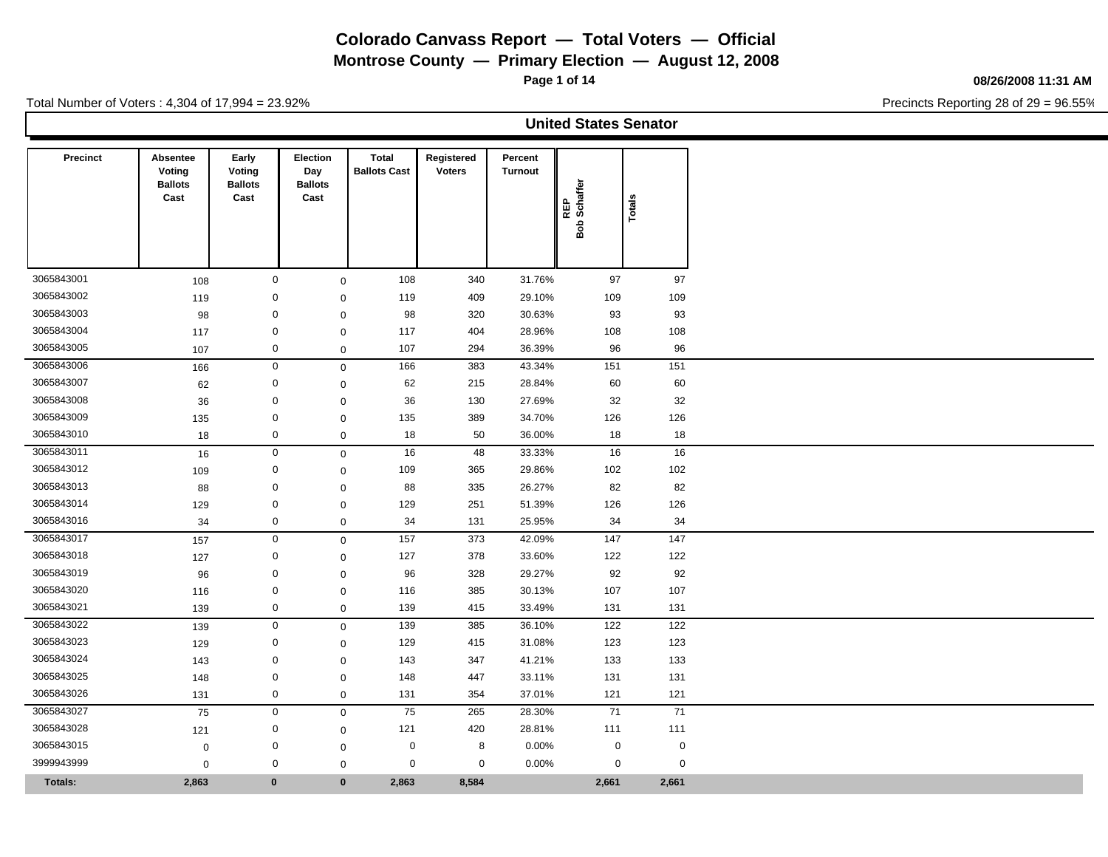**Montrose County — Primary Election — August 12, 2008**

**Page 1 of 14**

#### **08/26/2008 11:31 AM**

Precincts Reporting 28 of 29 = 96.55%

|            |                                              |                                           |                                           |                                     |                             |                           | <b>United States Senator</b> |             |  |
|------------|----------------------------------------------|-------------------------------------------|-------------------------------------------|-------------------------------------|-----------------------------|---------------------------|------------------------------|-------------|--|
| Precinct   | Absentee<br>Voting<br><b>Ballots</b><br>Cast | Early<br>Voting<br><b>Ballots</b><br>Cast | Election<br>Day<br><b>Ballots</b><br>Cast | <b>Total</b><br><b>Ballots Cast</b> | Registered<br><b>Voters</b> | Percent<br><b>Turnout</b> | REP<br>Bob Schaffer          | Totals      |  |
| 3065843001 | 108                                          | $\mathbf 0$                               | $\mathbf 0$                               | 108                                 | 340                         | 31.76%                    | 97                           | 97          |  |
| 3065843002 | 119                                          | $\mathbf 0$                               | $\mathbf 0$                               | 119                                 | 409                         | 29.10%                    | 109                          | 109         |  |
| 3065843003 | 98                                           | $\mathbf 0$                               | $\mathbf 0$                               | 98                                  | 320                         | 30.63%                    | 93                           | 93          |  |
| 3065843004 | 117                                          | $\mathbf 0$                               | $\mathbf 0$                               | 117                                 | 404                         | 28.96%                    | 108                          | 108         |  |
| 3065843005 | 107                                          | $\mathbf 0$                               | $\mathbf 0$                               | 107                                 | 294                         | 36.39%                    | 96                           | 96          |  |
| 3065843006 | 166                                          | $\mathsf{O}\xspace$                       | $\mathsf 0$                               | 166                                 | 383                         | 43.34%                    | 151                          | 151         |  |
| 3065843007 | 62                                           | $\mathbf 0$                               | $\mathbf 0$                               | 62                                  | 215                         | 28.84%                    | 60                           | 60          |  |
| 3065843008 | 36                                           | $\mathbf 0$                               | $\mathbf 0$                               | 36                                  | 130                         | 27.69%                    | 32                           | 32          |  |
| 3065843009 | 135                                          | $\mathbf 0$                               | $\mathbf 0$                               | 135                                 | 389                         | 34.70%                    | 126                          | 126         |  |
| 3065843010 | 18                                           | $\mathbf 0$                               | $\mathsf 0$                               | 18                                  | 50                          | 36.00%                    | 18                           | 18          |  |
| 3065843011 | 16                                           | $\mathbf 0$                               | $\mathbf 0$                               | 16                                  | 48                          | 33.33%                    | 16                           | 16          |  |
| 3065843012 | 109                                          | $\mathbf 0$                               | $\mathbf 0$                               | 109                                 | 365                         | 29.86%                    | 102                          | 102         |  |
| 3065843013 | 88                                           | $\mathbf 0$                               | $\mathbf 0$                               | 88                                  | 335                         | 26.27%                    | 82                           | 82          |  |
| 3065843014 | 129                                          | $\mathbf 0$                               | $\mathbf 0$                               | 129                                 | 251                         | 51.39%                    | 126                          | 126         |  |
| 3065843016 | 34                                           | $\mathbf 0$                               | $\mathbf 0$                               | 34                                  | 131                         | 25.95%                    | 34                           | 34          |  |
| 3065843017 | 157                                          | $\mathbf 0$                               | $\mathsf 0$                               | 157                                 | 373                         | 42.09%                    | 147                          | 147         |  |
| 3065843018 | 127                                          | $\mathbf 0$                               | $\mathbf 0$                               | 127                                 | 378                         | 33.60%                    | 122                          | 122         |  |
| 3065843019 | 96                                           | $\mathbf 0$                               | $\mathbf 0$                               | 96                                  | 328                         | 29.27%                    | 92                           | 92          |  |
| 3065843020 | 116                                          | $\mathbf 0$                               | $\mathbf 0$                               | 116                                 | 385                         | 30.13%                    | 107                          | 107         |  |
| 3065843021 | 139                                          | $\mathbf 0$                               | $\mathbf 0$                               | 139                                 | 415                         | 33.49%                    | 131                          | 131         |  |
| 3065843022 | 139                                          | $\mathbf 0$                               | $\mathbf 0$                               | 139                                 | 385                         | 36.10%                    | 122                          | 122         |  |
| 3065843023 | 129                                          | $\mathbf 0$                               | $\mathbf 0$                               | 129                                 | 415                         | 31.08%                    | 123                          | 123         |  |
| 3065843024 | 143                                          | $\mathbf 0$                               | $\mathbf 0$                               | 143                                 | 347                         | 41.21%                    | 133                          | 133         |  |
| 3065843025 | 148                                          | $\mathbf 0$                               | $\mathbf 0$                               | 148                                 | 447                         | 33.11%                    | 131                          | 131         |  |
| 3065843026 | 131                                          | $\mathbf 0$                               | $\mathbf 0$                               | 131                                 | 354                         | 37.01%                    | 121                          | 121         |  |
| 3065843027 | 75                                           | $\mathsf{O}\xspace$                       | $\mathbf 0$                               | 75                                  | 265                         | 28.30%                    | 71                           | 71          |  |
| 3065843028 | 121                                          | $\mathbf 0$                               | $\mathbf 0$                               | 121                                 | 420                         | 28.81%                    | 111                          | 111         |  |
| 3065843015 | $\mathbf 0$                                  | $\mathbf 0$                               | $\mathbf 0$                               | $\mathbf 0$                         | 8                           | 0.00%                     | $\mathbf 0$                  | $\mathbf 0$ |  |
| 3999943999 | $\mathbf 0$                                  | $\mathsf 0$                               | $\mathbf 0$                               | $\mathbf 0$                         | $\mathbf 0$                 | 0.00%                     | 0                            | $\mathbf 0$ |  |
| Totals:    | 2,863                                        | $\mathbf{0}$                              | $\mathbf{0}$                              | 2,863                               | 8,584                       |                           | 2,661                        | 2,661       |  |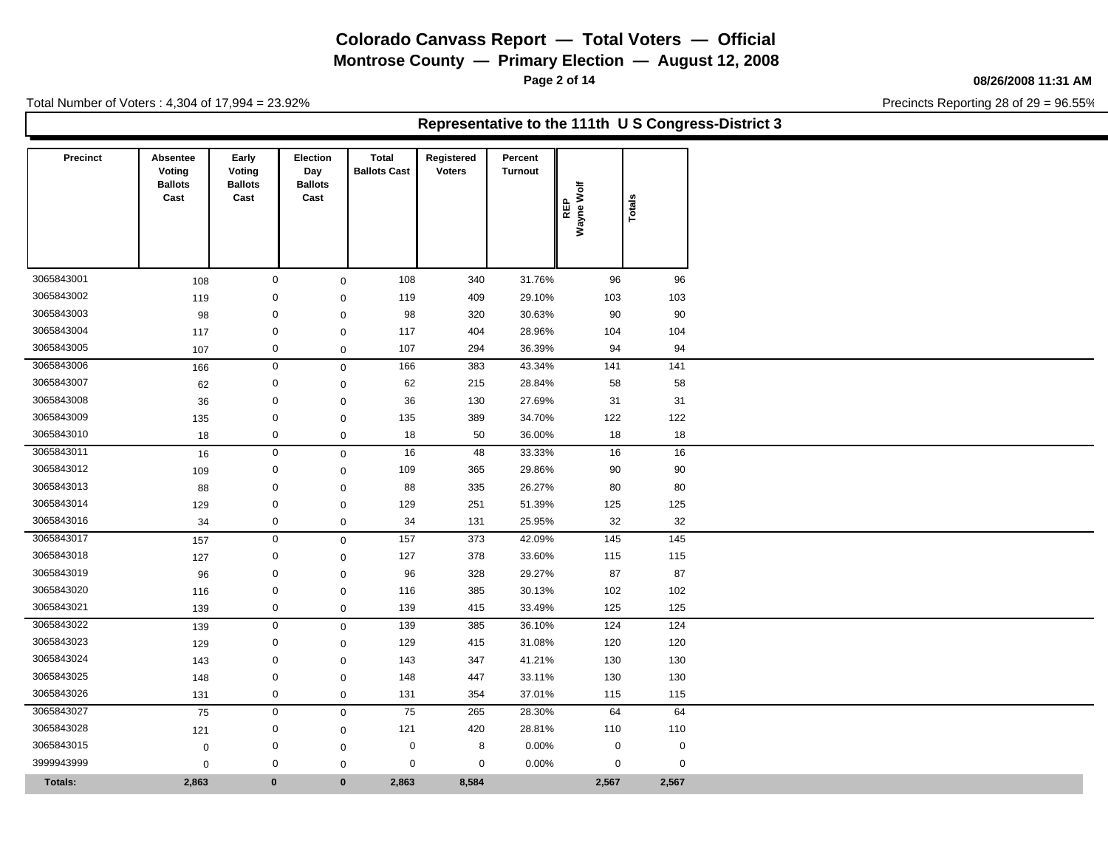**Montrose County — Primary Election — August 12, 2008**

**Page 2 of 14**

### **08/26/2008 11:31 AM**

Precincts Reporting 28 of 29 = 96.55%

Total Number of Voters : 4,304 of 17,994 = 23.92%

### **Representative to the 111th U S Congress-District 3**

| <b>Precinct</b> | Absentee<br>Voting<br><b>Ballots</b><br>Cast | Early<br>Voting<br><b>Ballots</b><br>Cast | <b>Election</b><br>Day<br><b>Ballots</b><br>Cast | Total<br><b>Ballots Cast</b> | Registered<br><b>Voters</b> | Percent<br><b>Turnout</b> | Wayne Wolf<br>REP | Totals      |
|-----------------|----------------------------------------------|-------------------------------------------|--------------------------------------------------|------------------------------|-----------------------------|---------------------------|-------------------|-------------|
|                 |                                              |                                           |                                                  |                              |                             |                           |                   |             |
| 3065843001      | 108                                          |                                           | $\mathbf 0$                                      | 108<br>$\mathbf 0$           | 340                         | 31.76%                    | 96                | 96          |
| 3065843002      | 119                                          |                                           | 0                                                | 119<br>$\mathbf 0$           | 409                         | 29.10%                    | 103               | 103         |
| 3065843003      | 98                                           | $\mathbf 0$                               |                                                  | 98<br>$\mathbf 0$            | 320                         | 30.63%                    | 90                | 90          |
| 3065843004      | 117                                          |                                           | 0                                                | 117<br>$\mathbf 0$           | 404                         | 28.96%                    | 104               | 104         |
| 3065843005      | 107                                          |                                           | 0                                                | 107<br>$\mathbf 0$           | 294                         | 36.39%                    | 94                | 94          |
| 3065843006      | 166                                          |                                           | $\mathbf 0$                                      | 166<br>$\mathsf{O}\xspace$   | 383                         | 43.34%                    | 141               | 141         |
| 3065843007      | 62                                           |                                           | 0                                                | 62<br>$\mathbf 0$            | 215                         | 28.84%                    | 58                | 58          |
| 3065843008      | 36                                           |                                           | $\mathbf 0$                                      | 36<br>$\mathbf 0$            | 130                         | 27.69%                    | 31                | 31          |
| 3065843009      | 135                                          | $\mathbf 0$                               |                                                  | 135<br>$\mathbf 0$           | 389                         | 34.70%                    | 122               | 122         |
| 3065843010      | 18                                           |                                           | $\mathbf 0$                                      | 18<br>$\mathbf 0$            | 50                          | 36.00%                    | 18                | 18          |
| 3065843011      | 16                                           |                                           | $\mathsf 0$                                      | 16<br>$\mathbf 0$            | 48                          | 33.33%                    | 16                | 16          |
| 3065843012      | 109                                          |                                           | $\mathbf 0$                                      | 109<br>$\mathbf 0$           | 365                         | 29.86%                    | 90                | 90          |
| 3065843013      | 88                                           |                                           | 0                                                | 88<br>$\mathbf 0$            | 335                         | 26.27%                    | 80                | 80          |
| 3065843014      | 129                                          | $\mathbf 0$                               |                                                  | 129<br>$\mathbf 0$           | 251                         | 51.39%                    | 125               | 125         |
| 3065843016      | 34                                           |                                           | 0                                                | 34<br>$\mathbf 0$            | 131                         | 25.95%                    | 32                | 32          |
| 3065843017      | 157                                          |                                           | $\mathbf 0$                                      | 157<br>$\mathbf 0$           | 373                         | 42.09%                    | 145               | 145         |
| 3065843018      | 127                                          |                                           | 0                                                | 127<br>$\mathbf 0$           | 378                         | 33.60%                    | 115               | 115         |
| 3065843019      | 96                                           |                                           | 0                                                | 96<br>$\mathbf 0$            | 328                         | 29.27%                    | 87                | 87          |
| 3065843020      | 116                                          |                                           | 0                                                | 116<br>$\mathbf 0$           | 385                         | 30.13%                    | 102               | 102         |
| 3065843021      | 139                                          |                                           | $\mathbf 0$                                      | 139<br>$\mathbf 0$           | 415                         | 33.49%                    | 125               | 125         |
| 3065843022      | 139                                          |                                           | 0                                                | 139<br>$\mathbf 0$           | 385                         | 36.10%                    | 124               | 124         |
| 3065843023      | 129                                          |                                           | 0                                                | 129<br>$\mathbf 0$           | 415                         | 31.08%                    | 120               | 120         |
| 3065843024      | 143                                          |                                           | $\pmb{0}$                                        | 143<br>$\mathbf 0$           | 347                         | 41.21%                    | 130               | 130         |
| 3065843025      | 148                                          |                                           | $\mathbf 0$                                      | 148<br>$\mathbf 0$           | 447                         | 33.11%                    | 130               | 130         |
| 3065843026      | 131                                          |                                           | $\mathbf 0$                                      | 131<br>$\mathsf{O}\xspace$   | 354                         | 37.01%                    | 115               | 115         |
| 3065843027      | 75                                           |                                           | $\mathsf 0$                                      | 75<br>$\mathbf 0$            | 265                         | 28.30%                    | 64                | 64          |
| 3065843028      | 121                                          |                                           | 0                                                | 121<br>$\mathbf 0$           | 420                         | 28.81%                    | 110               | 110         |
| 3065843015      | $\mathbf 0$                                  |                                           | 0                                                | $\mathbf 0$<br>$\mathbf 0$   | 8                           | 0.00%                     | $\mathbf 0$       | $\mathbf 0$ |
|                 |                                              |                                           |                                                  |                              |                             |                           |                   |             |
| 3999943999      | $\mathbf 0$                                  |                                           | 0                                                | $\mathbf 0$<br>$\mathbf 0$   | $\mathbf 0$                 | 0.00%                     | $\mathbf 0$       | 0           |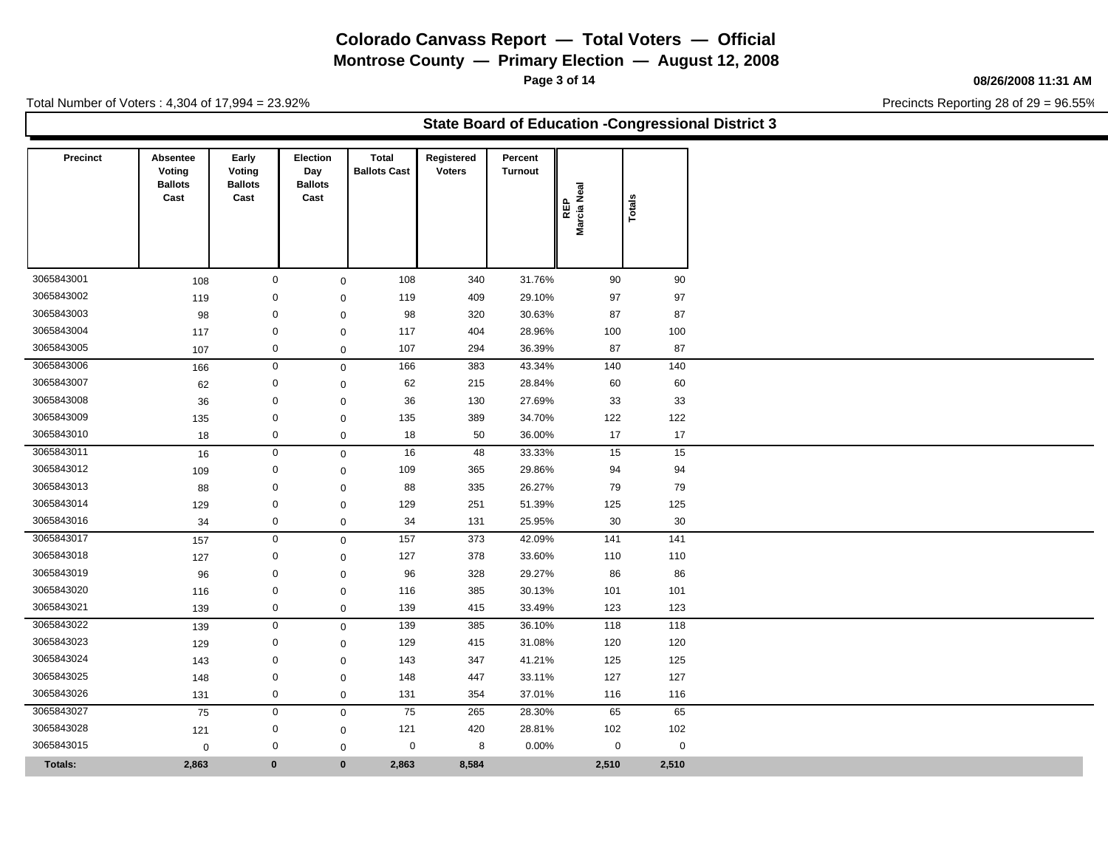**Montrose County — Primary Election — August 12, 2008**

**Page 3 of 14**

#### **08/26/2008 11:31 AM**

Precincts Reporting 28 of 29 = 96.55%

Total Number of Voters : 4,304 of 17,994 = 23.92%

### **State Board of Education -Congressional District 3**

| <b>Precinct</b> | Absentee<br>Voting<br><b>Ballots</b> | Early<br>Voting<br><b>Ballots</b> | Election<br>Day<br><b>Ballots</b> | Total<br><b>Ballots Cast</b> | Registered<br><b>Voters</b> | Percent<br><b>Turnout</b> |                    |             |
|-----------------|--------------------------------------|-----------------------------------|-----------------------------------|------------------------------|-----------------------------|---------------------------|--------------------|-------------|
|                 | Cast                                 | Cast                              | Cast                              |                              |                             |                           | Marcia Neal<br>REP | Totals      |
|                 |                                      |                                   |                                   |                              |                             |                           |                    |             |
| 3065843001      | 108                                  |                                   | $\mathbf 0$                       | 108<br>$\mathbf 0$           | 340                         | 31.76%                    | 90                 | 90          |
| 3065843002      | 119                                  |                                   | $\mathbf 0$                       | 119<br>$\mathbf{0}$          | 409                         | 29.10%                    | 97                 | 97          |
| 3065843003      | 98                                   |                                   | $\mathbf 0$                       | 98<br>$\mathbf 0$            | 320                         | 30.63%                    | 87                 | 87          |
| 3065843004      | 117                                  |                                   | 0                                 | 117<br>$\mathbf 0$           | 404                         | 28.96%                    | 100                | 100         |
| 3065843005      | 107                                  |                                   | $\mathbf 0$                       | 107<br>$\mathbf 0$           | 294                         | 36.39%                    | 87                 | 87          |
| 3065843006      | 166                                  |                                   | $\mathbf 0$                       | 166<br>$\mathbf 0$           | 383                         | 43.34%                    | 140                | 140         |
| 3065843007      | 62                                   |                                   | $\mathbf 0$                       | 62<br>$\mathbf{0}$           | 215                         | 28.84%                    | 60                 | 60          |
| 3065843008      | 36                                   |                                   | $\mathbf 0$                       | 36<br>$\mathbf 0$            | 130                         | 27.69%                    | 33                 | 33          |
| 3065843009      | 135                                  |                                   | $\mathbf 0$                       | 135<br>$\mathbf 0$           | 389                         | 34.70%                    | 122                | 122         |
| 3065843010      | 18                                   |                                   | $\mathbf 0$                       | 18<br>$\mathbf 0$            | 50                          | 36.00%                    | 17                 | 17          |
| 3065843011      | 16                                   |                                   | $\mathbf{0}$                      | 16<br>$\mathbf 0$            | 48                          | 33.33%                    | 15                 | 15          |
| 3065843012      | 109                                  |                                   | 0                                 | 109<br>$\mathbf 0$           | 365                         | 29.86%                    | 94                 | 94          |
| 3065843013      | 88                                   |                                   | $\mathbf 0$                       | 88<br>$\mathbf 0$            | 335                         | 26.27%                    | 79                 | 79          |
| 3065843014      | 129                                  |                                   | $\mathbf 0$                       | 129<br>$\mathbf 0$           | 251                         | 51.39%                    | 125                | 125         |
| 3065843016      | 34                                   |                                   | $\mathbf 0$                       | 34<br>$\mathbf 0$            | 131                         | 25.95%                    | 30                 | 30          |
| 3065843017      | 157                                  |                                   | $\mathbf 0$                       | 157<br>$\mathbf 0$           | 373                         | 42.09%                    | 141                | 141         |
| 3065843018      | 127                                  |                                   | $\mathbf 0$                       | 127<br>$\mathbf 0$           | 378                         | 33.60%                    | 110                | 110         |
| 3065843019      | 96                                   |                                   | $\mathbf 0$                       | 96<br>$\mathbf 0$            | 328                         | 29.27%                    | 86                 | 86          |
| 3065843020      | 116                                  |                                   | $\mathbf 0$                       | 116<br>$\mathbf 0$           | 385                         | 30.13%                    | 101                | 101         |
| 3065843021      | 139                                  |                                   | $\mathbf 0$                       | 139<br>$\mathbf 0$           | 415                         | 33.49%                    | 123                | 123         |
| 3065843022      | 139                                  |                                   | $\mathbf 0$                       | 139<br>$\mathbf 0$           | 385                         | 36.10%                    | 118                | 118         |
| 3065843023      | 129                                  |                                   | $\mathbf 0$                       | 129<br>$\mathbf 0$           | 415                         | 31.08%                    | 120                | 120         |
| 3065843024      | 143                                  |                                   | $\mathbf 0$                       | 143<br>$\mathbf{0}$          | 347                         | 41.21%                    | 125                | 125         |
| 3065843025      | 148                                  |                                   | $\mathbf 0$                       | 148<br>$\mathbf 0$           | 447                         | 33.11%                    | 127                | 127         |
| 3065843026      | 131                                  |                                   | $\mathbf 0$                       | 131<br>$\mathbf 0$           | 354                         | 37.01%                    | 116                | 116         |
| 3065843027      | 75                                   |                                   | $\mathbf 0$                       | 75<br>$\mathbf 0$            | 265                         | 28.30%                    | 65                 | 65          |
| 3065843028      | 121                                  |                                   | 0                                 | 121<br>$\mathbf 0$           | 420                         | 28.81%                    | 102                | 102         |
| 3065843015      | $\mathbf 0$                          |                                   | 0                                 | 0<br>$\mathbf 0$             | 8                           | 0.00%                     | $\mathbf 0$        | $\mathbf 0$ |
| <b>Totals:</b>  | 2,863                                |                                   | $\bf{0}$                          | $\mathbf{0}$<br>2,863        | 8,584                       |                           | 2,510              | 2,510       |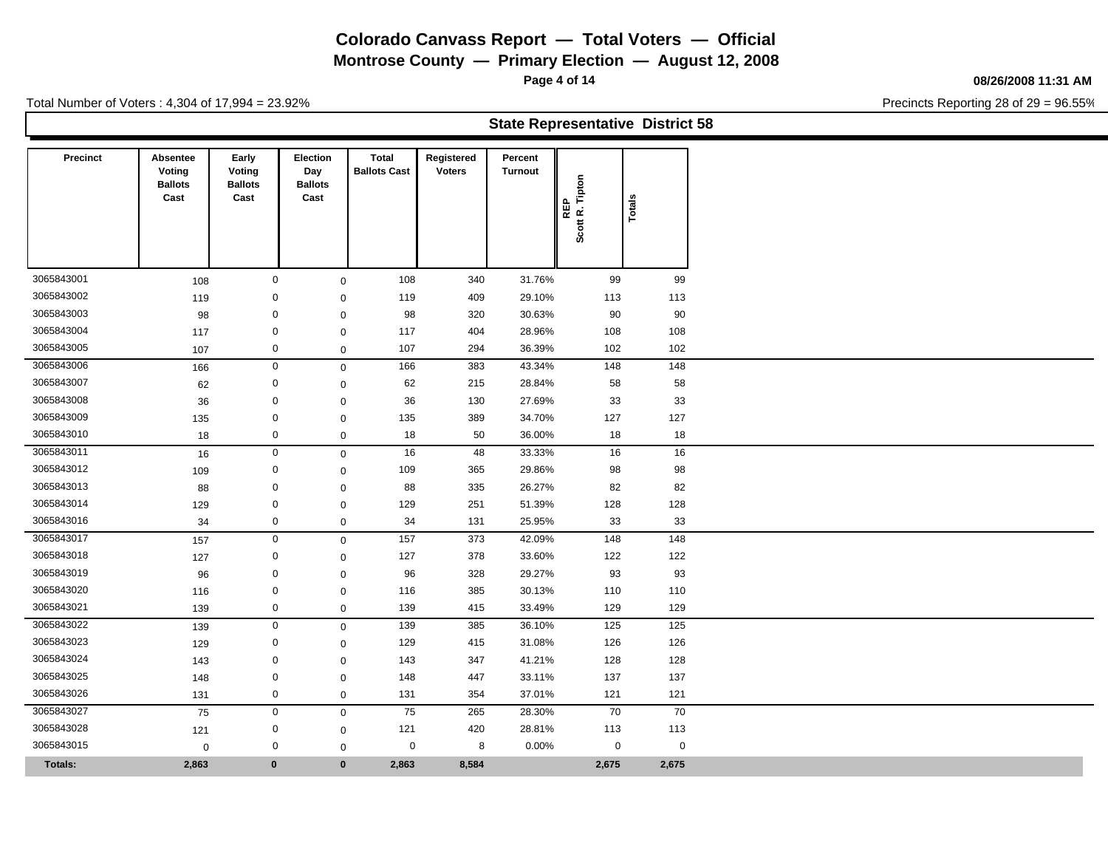**Montrose County — Primary Election — August 12, 2008**

**Page 4 of 14**

#### **08/26/2008 11:31 AM**

Precincts Reporting 28 of 29 = 96.55%

| <b>State Representative District 58</b> |  |
|-----------------------------------------|--|
|-----------------------------------------|--|

| <b>Precinct</b> | Absentee<br>Voting<br><b>Ballots</b><br>Cast | Early<br>Voting<br><b>Ballots</b><br>Cast | Election<br>Day<br><b>Ballots</b><br>Cast | <b>Total</b><br><b>Ballots Cast</b> | Registered<br><b>Voters</b> | Percent<br><b>Turnout</b> | Tipton<br>REP<br>Scott R. | Total       |
|-----------------|----------------------------------------------|-------------------------------------------|-------------------------------------------|-------------------------------------|-----------------------------|---------------------------|---------------------------|-------------|
|                 |                                              |                                           |                                           |                                     |                             |                           |                           |             |
| 3065843001      | 108                                          |                                           | $\mathbf 0$                               | 108<br>$\mathbf 0$                  | 340                         | 31.76%                    | 99                        | 99          |
| 3065843002      | 119                                          |                                           | $\mathbf 0$                               | 119<br>$\mathbf 0$                  | 409                         | 29.10%                    | 113                       | 113         |
| 3065843003      | 98                                           |                                           | $\mathbf 0$                               | 98<br>$\mathbf 0$                   | 320                         | 30.63%                    | 90                        | 90          |
| 3065843004      | 117                                          |                                           | $\mathbf 0$                               | 117<br>$\mathbf 0$                  | 404                         | 28.96%                    | 108                       | 108         |
| 3065843005      | 107                                          |                                           | $\mathbf 0$                               | 107<br>$\mathbf 0$                  | 294                         | 36.39%                    | 102                       | 102         |
| 3065843006      | 166                                          |                                           | $\mathbf 0$                               | 166<br>$\mathsf 0$                  | 383                         | 43.34%                    | 148                       | 148         |
| 3065843007      | 62                                           |                                           | $\mathbf 0$                               | 62<br>$\mathbf 0$                   | 215                         | 28.84%                    | 58                        | 58          |
| 3065843008      | 36                                           |                                           | $\mathbf 0$                               | 36<br>$\mathbf 0$                   | 130                         | 27.69%                    | 33                        | 33          |
| 3065843009      | 135                                          |                                           | $\mathbf 0$                               | 135<br>$\mathbf 0$                  | 389                         | 34.70%                    | 127                       | 127         |
| 3065843010      | 18                                           |                                           | $\mathbf 0$                               | 18<br>$\mathbf 0$                   | 50                          | 36.00%                    | 18                        | 18          |
| 3065843011      | 16                                           |                                           | $\mathbf 0$                               | 16<br>$\,0\,$                       | 48                          | 33.33%                    | 16                        | 16          |
| 3065843012      | 109                                          |                                           | $\mathbf 0$                               | 109<br>$\mathbf 0$                  | 365                         | 29.86%                    | 98                        | 98          |
| 3065843013      | 88                                           |                                           | $\mathbf 0$                               | 88<br>$\mathbf 0$                   | 335                         | 26.27%                    | 82                        | 82          |
| 3065843014      | 129                                          |                                           | $\mathbf 0$                               | 129<br>$\mathbf 0$                  | 251                         | 51.39%                    | 128                       | 128         |
| 3065843016      | 34                                           |                                           | $\mathbf 0$                               | 34<br>$\mathbf 0$                   | 131                         | 25.95%                    | 33                        | 33          |
| 3065843017      | 157                                          |                                           | $\mathbf 0$                               | 157<br>$\mathbf 0$                  | 373                         | 42.09%                    | 148                       | 148         |
| 3065843018      | 127                                          |                                           | 0                                         | 127<br>$\mathbf 0$                  | 378                         | 33.60%                    | 122                       | 122         |
| 3065843019      | 96                                           |                                           | 0                                         | 96<br>$\mathbf 0$                   | 328                         | 29.27%                    | 93                        | 93          |
| 3065843020      | 116                                          | $\mathbf 0$                               |                                           | 116<br>$\mathbf 0$                  | 385                         | 30.13%                    | 110                       | 110         |
| 3065843021      | 139                                          |                                           | 0                                         | 139<br>$\mathbf 0$                  | 415                         | 33.49%                    | 129                       | 129         |
| 3065843022      | 139                                          |                                           | $\mathbf 0$                               | 139<br>$\mathbf 0$                  | 385                         | 36.10%                    | 125                       | 125         |
| 3065843023      | 129                                          |                                           | 0                                         | 129<br>$\mathbf 0$                  | 415                         | 31.08%                    | 126                       | 126         |
| 3065843024      | 143                                          |                                           | $\mathbf 0$                               | 143<br>$\mathbf 0$                  | 347                         | 41.21%                    | 128                       | 128         |
| 3065843025      | 148                                          |                                           | $\mathbf 0$                               | 148<br>$\mathbf 0$                  | 447                         | 33.11%                    | 137                       | 137         |
| 3065843026      | 131                                          |                                           | $\mathbf 0$                               | 131<br>$\mathbf 0$                  | 354                         | 37.01%                    | 121                       | 121         |
| 3065843027      | 75                                           |                                           | $\mathbf 0$                               | 75<br>$\mathbf 0$                   | 265                         | 28.30%                    | 70                        | 70          |
| 3065843028      | 121                                          |                                           | $\mathbf 0$                               | 121<br>$\mathbf 0$                  | 420                         | 28.81%                    | 113                       | 113         |
| 3065843015      | $\mathbf 0$                                  |                                           | $\mathbf 0$                               | $\mathbf 0$                         | $\mathbf 0$<br>8            | 0.00%                     | 0                         | $\mathbf 0$ |
| <b>Totals:</b>  | 2,863                                        | $\mathbf{0}$                              |                                           | $\mathbf{0}$<br>2,863               | 8,584                       |                           | 2,675                     | 2,675       |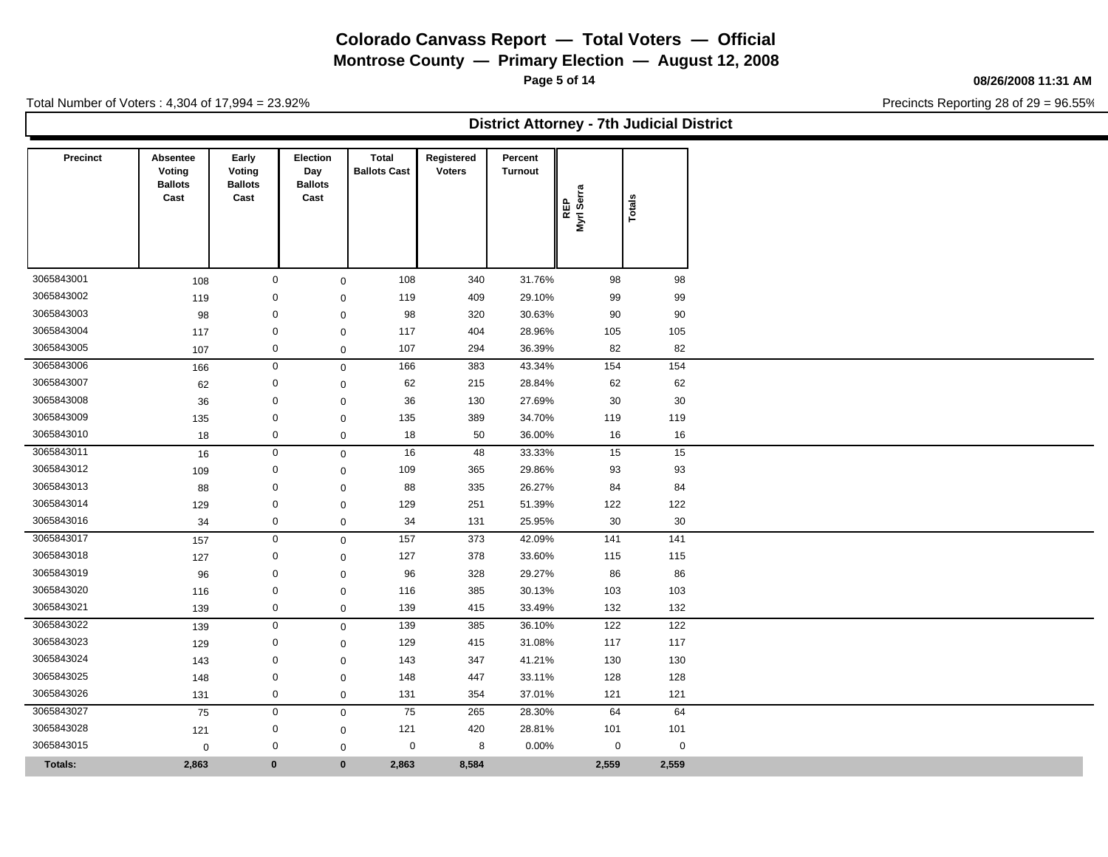**Montrose County — Primary Election — August 12, 2008**

**Page 5 of 14**

#### **08/26/2008 11:31 AM**

Precincts Reporting 28 of 29 = 96.55%

Total Number of Voters : 4,304 of 17,994 = 23.92%

**District Attorney - 7th Judicial District**

| <b>Precinct</b> | Absentee<br>Voting<br><b>Ballots</b> | Early<br>Voting<br><b>Ballots</b> | <b>Election</b><br>Day<br><b>Ballots</b> | <b>Total</b><br><b>Ballots Cast</b> | Registered<br><b>Voters</b> | Percent<br>Turnout | ဇူ               |                 |
|-----------------|--------------------------------------|-----------------------------------|------------------------------------------|-------------------------------------|-----------------------------|--------------------|------------------|-----------------|
|                 | Cast                                 | Cast                              | Cast                                     |                                     |                             |                    | REP<br>Myrl Seri | Totals          |
|                 |                                      |                                   |                                          |                                     |                             |                    |                  |                 |
|                 |                                      |                                   |                                          |                                     |                             |                    |                  |                 |
| 3065843001      | 108                                  |                                   | $\mathbf 0$                              | 108<br>$\mathbf 0$                  | 340                         | 31.76%             | 98               | 98              |
| 3065843002      | 119                                  |                                   | $\mathbf 0$                              | 119<br>$\mathbf 0$                  | 409                         | 29.10%             | 99               | 99              |
| 3065843003      | 98                                   |                                   | $\mathbf 0$                              | 98<br>$\mathbf 0$                   | 320                         | 30.63%             | 90               | 90              |
| 3065843004      | 117                                  |                                   | $\mathbf 0$                              | 117<br>$\mathbf 0$                  | 404                         | 28.96%             | 105              | 105             |
| 3065843005      | 107                                  |                                   | $\mathbf 0$                              | 107<br>$\mathbf 0$                  | 294                         | 36.39%             | 82               | 82              |
| 3065843006      | 166                                  |                                   | $\mathbf 0$                              | 166<br>$\mathbf 0$                  | 383                         | 43.34%             | 154              | 154             |
| 3065843007      | 62                                   |                                   | $\mathbf 0$                              | 62<br>$\mathbf 0$                   | 215                         | 28.84%             | 62               | 62              |
| 3065843008      | 36                                   |                                   | $\mathbf 0$                              | 36<br>$\mathbf 0$                   | 130                         | 27.69%             | 30               | 30              |
| 3065843009      | 135                                  |                                   | 0                                        | 135<br>$\mathbf 0$                  | 389                         | 34.70%             | 119              | 119             |
| 3065843010      | 18                                   |                                   | $\mathbf 0$                              | 18<br>$\mathsf 0$                   | 50                          | 36.00%             | 16               | 16              |
| 3065843011      | 16                                   |                                   | $\mathsf{O}\xspace$                      | 16<br>$\mathbf 0$                   | 48                          | 33.33%             | 15               | 15              |
| 3065843012      | 109                                  |                                   | $\mathbf 0$                              | 109<br>$\mathbf 0$                  | 365                         | 29.86%             | 93               | 93              |
| 3065843013      | 88                                   |                                   | $\mathbf 0$                              | 88<br>$\mathbf 0$                   | 335                         | 26.27%             | 84               | 84              |
| 3065843014      | 129                                  |                                   | $\mathbf 0$                              | 129<br>$\mathbf 0$                  | 251                         | 51.39%             | 122              | 122             |
| 3065843016      | 34                                   |                                   | $\mathbf 0$                              | 34<br>$\mathsf 0$                   | 131                         | 25.95%             | 30               | 30              |
| 3065843017      | 157                                  |                                   | $\mathbf 0$                              | 157<br>$\mathbf 0$                  | 373                         | 42.09%             | 141              | $\frac{141}{1}$ |
| 3065843018      | 127                                  |                                   | $\mathbf 0$                              | 127<br>0                            | 378                         | 33.60%             | 115              | 115             |
| 3065843019      | 96                                   |                                   | $\mathbf 0$                              | 96<br>$\mathbf 0$                   | 328                         | 29.27%             | 86               | 86              |
| 3065843020      | 116                                  |                                   | $\mathbf 0$                              | 116<br>$\mathbf 0$                  | 385                         | 30.13%             | 103              | 103             |
| 3065843021      | 139                                  |                                   | $\mathbf 0$                              | 139<br>$\mathbf 0$                  | 415                         | 33.49%             | 132              | 132             |
| 3065843022      | 139                                  |                                   | $\mathbf 0$                              | 139<br>$\mathbf 0$                  | 385                         | 36.10%             | 122              | 122             |
| 3065843023      | 129                                  |                                   | 0                                        | 129<br>$\mathbf 0$                  | 415                         | 31.08%             | 117              | 117             |
| 3065843024      | 143                                  |                                   | 0                                        | 143<br>$\mathbf 0$                  | 347                         | 41.21%             | 130              | 130             |
| 3065843025      | 148                                  |                                   | $\mathbf 0$                              | 148<br>$\mathbf 0$                  | 447                         | 33.11%             | 128              | 128             |
| 3065843026      | 131                                  |                                   | $\mathbf 0$                              | 131<br>$\mathbf 0$                  | 354                         | 37.01%             | 121              | 121             |
| 3065843027      | 75                                   |                                   | $\mathbf 0$                              | 75<br>$\mathbf 0$                   | 265                         | 28.30%             | 64               | 64              |
| 3065843028      | 121                                  |                                   | $\mathbf 0$                              | 121<br>$\mathbf 0$                  | 420                         | 28.81%             | 101              | 101             |
| 3065843015      | $\mathbf 0$                          |                                   | $\mathbf 0$                              | 0<br>$\mathbf 0$                    | 8                           | 0.00%              | $\mathbf 0$      | $\mathbf 0$     |
| <b>Totals:</b>  | 2,863                                | $\bf{0}$                          |                                          | $\bf{0}$<br>2,863                   | 8,584                       |                    | 2,559            | 2,559           |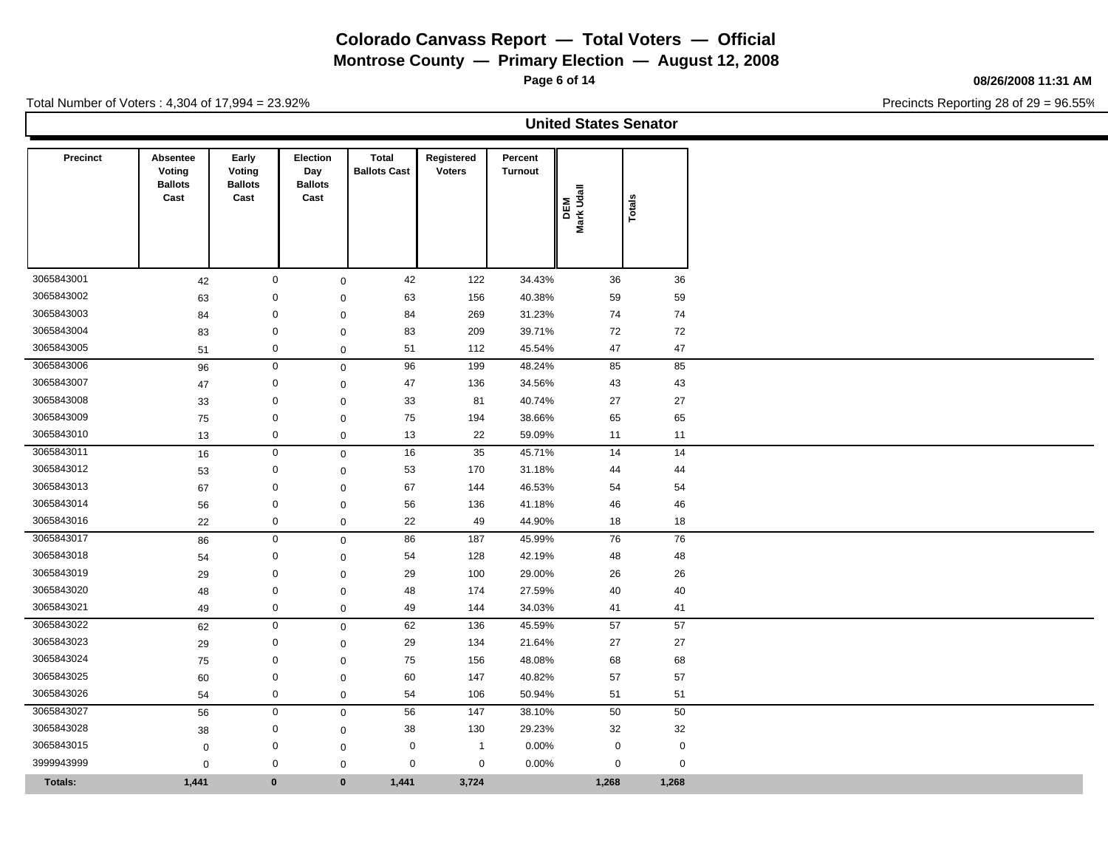**Montrose County — Primary Election — August 12, 2008**

**Page 6 of 14**

#### **08/26/2008 11:31 AM**

Precincts Reporting 28 of 29 = 96.55%

|                 |                                              |                                           |                                           |                                     |                             |                           | <b>United States Senator</b> |             |
|-----------------|----------------------------------------------|-------------------------------------------|-------------------------------------------|-------------------------------------|-----------------------------|---------------------------|------------------------------|-------------|
| <b>Precinct</b> | Absentee<br>Voting<br><b>Ballots</b><br>Cast | Early<br>Voting<br><b>Ballots</b><br>Cast | Election<br>Day<br><b>Ballots</b><br>Cast | <b>Total</b><br><b>Ballots Cast</b> | Registered<br><b>Voters</b> | Percent<br><b>Turnout</b> | DEM<br>Mark Udall            | Totals      |
| 3065843001      | 42                                           | $\mathbf 0$                               |                                           | 42<br>$\mathsf 0$                   | 122                         | 34.43%                    | 36                           | 36          |
| 3065843002      | 63                                           | $\mathbf 0$                               |                                           | 63<br>$\mathbf 0$                   | 156                         | 40.38%                    | 59                           | 59          |
| 3065843003      | 84                                           | $\mathbf 0$                               |                                           | 84<br>$\mathbf 0$                   | 269                         | 31.23%                    | 74                           | 74          |
| 3065843004      | 83                                           | $\mathbf 0$                               |                                           | 83<br>$\mathbf 0$                   | 209                         | 39.71%                    | 72                           | 72          |
| 3065843005      | 51                                           | $\mathsf 0$                               |                                           | 51<br>$\mathbf 0$                   | 112                         | 45.54%                    | 47                           | 47          |
| 3065843006      | 96                                           | $\boldsymbol{0}$                          |                                           | 96<br>$\mathsf 0$                   | 199                         | 48.24%                    | 85                           | 85          |
| 3065843007      | 47                                           | $\mathbf 0$                               |                                           | 47<br>$\mathbf 0$                   | 136                         | 34.56%                    | 43                           | 43          |
| 3065843008      | 33                                           | $\mathbf 0$                               |                                           | 33<br>$\Omega$                      | 81                          | 40.74%                    | 27                           | 27          |
| 3065843009      | 75                                           | $\mathbf 0$                               |                                           | 75<br>$\mathbf 0$                   | 194                         | 38.66%                    | 65                           | 65          |
| 3065843010      | 13                                           | $\mathbf 0$                               |                                           | 13<br>$\mathbf 0$                   | 22                          | 59.09%                    | 11                           | 11          |
| 3065843011      | 16                                           | $\mathsf 0$                               |                                           | 16<br>$\mathbf 0$                   | $35\,$                      | 45.71%                    | 14                           | 14          |
| 3065843012      | 53                                           | $\boldsymbol{0}$                          |                                           | 53<br>$\mathbf 0$                   | 170                         | 31.18%                    | 44                           | 44          |
| 3065843013      | 67                                           | $\mathbf 0$                               |                                           | 67<br>$\mathbf 0$                   | 144                         | 46.53%                    | 54                           | 54          |
| 3065843014      | 56                                           | $\mathbf 0$                               |                                           | 56<br>$\mathbf 0$                   | 136                         | 41.18%                    | 46                           | 46          |
| 3065843016      | 22                                           | $\mathbf 0$                               |                                           | 22<br>$\mathbf 0$                   | 49                          | 44.90%                    | 18                           | 18          |
| 3065843017      | 86                                           | $\mathbf 0$                               |                                           | 86<br>$\mathbf 0$                   | 187                         | 45.99%                    | 76                           | 76          |
| 3065843018      | 54                                           | $\boldsymbol{0}$                          |                                           | 54<br>$\mathbf 0$                   | 128                         | 42.19%                    | 48                           | 48          |
| 3065843019      | 29                                           | $\mathbf 0$                               |                                           | 29<br>$\Omega$                      | 100                         | 29.00%                    | 26                           | 26          |
| 3065843020      | 48                                           | $\mathbf 0$                               |                                           | 48<br>$\mathbf 0$                   | 174                         | 27.59%                    | 40                           | 40          |
| 3065843021      | 49                                           | $\mathbf 0$                               |                                           | 49<br>$\mathbf 0$                   | 144                         | 34.03%                    | 41                           | 41          |
| 3065843022      | 62                                           | $\mathsf 0$                               |                                           | 62<br>$\mathbf 0$                   | 136                         | 45.59%                    | 57                           | 57          |
| 3065843023      | 29                                           | $\boldsymbol{0}$                          |                                           | 29<br>$\mathbf 0$                   | 134                         | 21.64%                    | 27                           | 27          |
| 3065843024      | 75                                           | $\mathbf 0$                               |                                           | 75<br>$\mathbf 0$                   | 156                         | 48.08%                    | 68                           | 68          |
| 3065843025      | 60                                           | $\mathbf 0$                               |                                           | 60<br>$\mathbf 0$                   | 147                         | 40.82%                    | 57                           | 57          |
| 3065843026      | 54                                           | $\mathsf{O}\xspace$                       |                                           | 54<br>$\mathbf 0$                   | 106                         | 50.94%                    | 51                           | 51          |
| 3065843027      | 56                                           | $\mathbf 0$                               |                                           | 56<br>$\mathbf 0$                   | 147                         | 38.10%                    | 50                           | 50          |
| 3065843028      | 38                                           | $\mathbf 0$                               |                                           | 38<br>$\mathbf 0$                   | 130                         | 29.23%                    | 32                           | 32          |
| 3065843015      | $\mathbf 0$                                  | $\mathbf 0$                               |                                           | $\mathbf 0$<br>$\mathbf 0$          | $\overline{1}$              | 0.00%                     | $\mathbf 0$                  | $\mathbf 0$ |
| 3999943999      | $\mathbf 0$                                  | $\mathbf 0$                               |                                           | $\mathbf 0$<br>$\mathbf 0$          | $\mathbf 0$                 | 0.00%                     | $\mathbf 0$                  | $\mathbf 0$ |
| <b>Totals:</b>  | 1,441                                        | $\mathbf 0$                               |                                           | $\mathbf{0}$<br>1,441               | 3,724                       |                           | 1,268                        | 1,268       |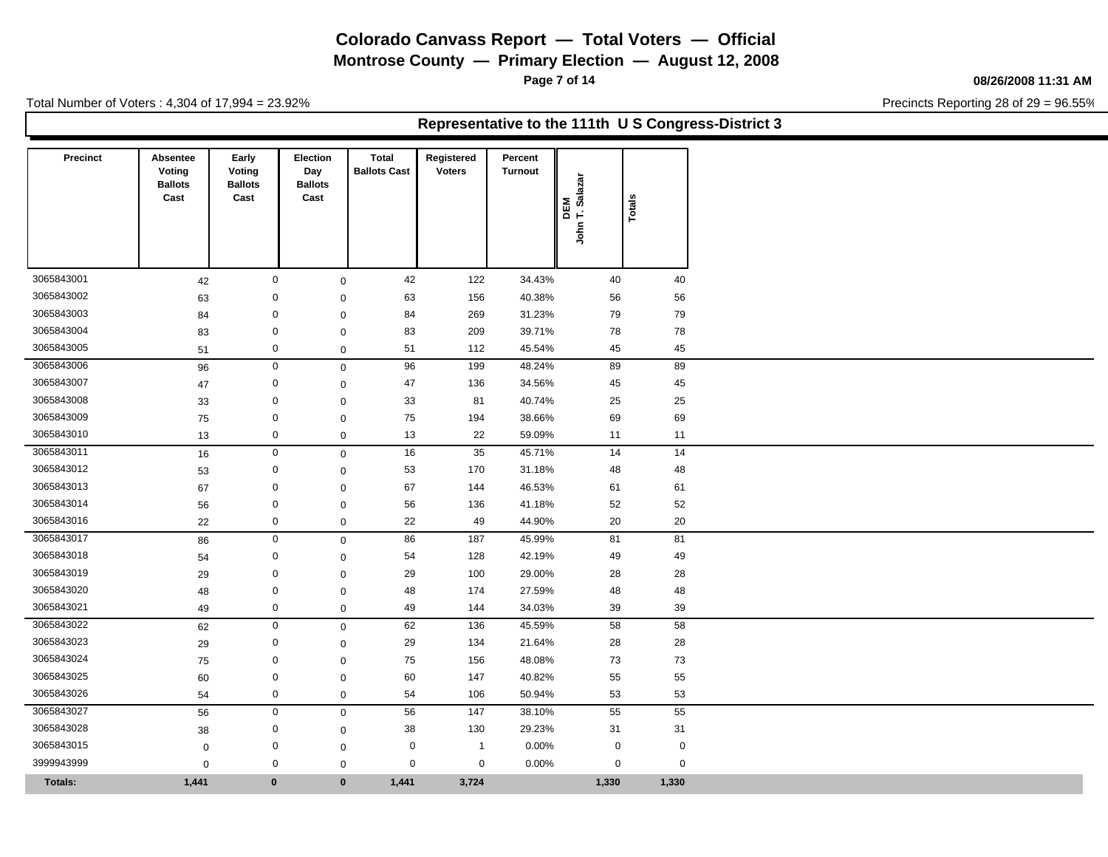**Montrose County — Primary Election — August 12, 2008**

**Page 7 of 14**

### **08/26/2008 11:31 AM**

Precincts Reporting 28 of 29 = 96.55%

Total Number of Voters : 4,304 of 17,994 = 23.92%

### **Representative to the 111th U S Congress-District 3**

| <b>Precinct</b>          | Absentee<br>Voting<br><b>Ballots</b><br>Cast | Early<br>Voting<br><b>Ballots</b><br>Cast | <b>Election</b><br>Day<br><b>Ballots</b><br>Cast | <b>Total</b><br><b>Ballots Cast</b> | Registered<br><b>Voters</b>   | Percent<br>Turnout | DEM<br>IT. Salazar<br>John | Totals |             |
|--------------------------|----------------------------------------------|-------------------------------------------|--------------------------------------------------|-------------------------------------|-------------------------------|--------------------|----------------------------|--------|-------------|
|                          |                                              |                                           |                                                  |                                     |                               |                    |                            |        |             |
| 3065843001<br>3065843002 | 42                                           |                                           | $\mathbf 0$<br>$\mathbf 0$                       | $\mathbf 0$                         | 42<br>122                     | 34.43%             | 40                         |        | 40          |
|                          | 63                                           |                                           |                                                  | $\mathbf 0$                         | 156<br>63                     | 40.38%             | 56                         |        | 56          |
| 3065843003<br>3065843004 | 84                                           |                                           | $\mathbf 0$<br>$\mathbf 0$                       | $\mathbf 0$                         | 84<br>269                     | 31.23%             | 79<br>78                   |        | 79<br>78    |
| 3065843005               | 83                                           |                                           | $\mathbf 0$                                      | $\mathbf 0$                         | 83<br>209                     | 39.71%             |                            |        |             |
|                          | 51                                           |                                           |                                                  | $\mathbf 0$                         | 51<br>112                     | 45.54%             | 45                         |        | 45          |
| 3065843006<br>3065843007 | 96                                           |                                           | 0                                                | $\mathbf 0$                         | 96<br>199                     | 48.24%             | 89                         |        | 89          |
| 3065843008               | 47                                           |                                           | $\mathbf 0$<br>$\mathbf 0$                       | $\mathbf 0$                         | 47<br>136<br>81               | 34.56%             | 45<br>25                   |        | 45          |
| 3065843009               | 33                                           |                                           | $\mathbf 0$                                      | $\mathbf 0$                         | 33<br>75<br>194               | 40.74%<br>38.66%   | 69                         |        | 25<br>69    |
| 3065843010               | 75<br>13                                     |                                           | $\mathbf 0$                                      | $\mathbf 0$<br>$\mathbf 0$          | 22<br>13                      | 59.09%             | 11                         |        | 11          |
| 3065843011               | 16                                           |                                           | $\mathbf 0$                                      | $\mathbf 0$                         | 35<br>16                      | 45.71%             | 14                         |        | 14          |
| 3065843012               | 53                                           |                                           | $\mathbf 0$                                      | $\mathbf{0}$                        | 53<br>170                     | 31.18%             | 48                         |        | 48          |
| 3065843013               | 67                                           |                                           | $\mathbf 0$                                      | $\mathbf 0$                         | 67<br>144                     | 46.53%             | 61                         |        | 61          |
| 3065843014               | 56                                           |                                           | $\mathbf 0$                                      | $\mathbf 0$                         | 56<br>136                     | 41.18%             | 52                         |        | 52          |
| 3065843016               | 22                                           |                                           | $\mathbf 0$                                      | $\mathbf 0$                         | 49<br>22                      | 44.90%             | 20                         |        | 20          |
| 3065843017               | 86                                           |                                           | $\mathbf 0$                                      | $\mathbf 0$                         | 86<br>187                     | 45.99%             | 81                         |        | 81          |
| 3065843018               | 54                                           |                                           | $\mathbf 0$                                      | $\Omega$                            | 54<br>128                     | 42.19%             | 49                         |        | 49          |
| 3065843019               | 29                                           |                                           | $\mathbf 0$                                      | $\mathbf 0$                         | 29<br>100                     | 29.00%             | 28                         |        | 28          |
| 3065843020               | 48                                           |                                           | $\mathbf 0$                                      | $\mathbf 0$                         | 48<br>174                     | 27.59%             | 48                         |        | 48          |
| 3065843021               | 49                                           |                                           | $\mathbf 0$                                      | $\mathbf 0$                         | 49<br>144                     | 34.03%             | 39                         |        | 39          |
| 3065843022               | 62                                           |                                           | $\mathbf 0$                                      | $\mathbf 0$                         | 62<br>136                     | 45.59%             | 58                         |        | 58          |
| 3065843023               | 29                                           |                                           | $\mathbf 0$                                      | $\mathbf 0$                         | 29<br>134                     | 21.64%             | 28                         |        | 28          |
| 3065843024               | 75                                           |                                           | $\mathbf 0$                                      | $\mathbf 0$                         | 75<br>156                     | 48.08%             | 73                         |        | 73          |
| 3065843025               | 60                                           |                                           | $\mathbf 0$                                      | $\mathbf 0$                         | 60<br>147                     | 40.82%             | 55                         |        | 55          |
| 3065843026               | 54                                           |                                           | $\mathbf 0$                                      | $\mathsf 0$                         | 54<br>106                     | 50.94%             | 53                         |        | 53          |
| 3065843027               | 56                                           |                                           | $\mathbf 0$                                      | $\mathbf 0$                         | 56<br>147                     | 38.10%             | 55                         |        | 55          |
| 3065843028               | 38                                           |                                           | 0                                                | $\mathbf 0$                         | 38<br>130                     | 29.23%             | 31                         |        | 31          |
| 3065843015               | $\mathbf 0$                                  |                                           | $\mathbf 0$                                      | $\mathbf 0$                         | $\mathbf 0$<br>$\overline{1}$ | 0.00%              | $\mathbf 0$                |        | $\mathbf 0$ |
| 3999943999               | $\mathbf 0$                                  |                                           | $\mathbf 0$                                      | $\mathbf 0$                         | 0<br>$\mathbf 0$              | 0.00%              | 0                          |        | $\mathsf 0$ |
| <b>Totals:</b>           | 1,441                                        |                                           | $\bf{0}$                                         | $\mathbf{0}$<br>1,441               | 3,724                         |                    | 1,330                      |        | 1,330       |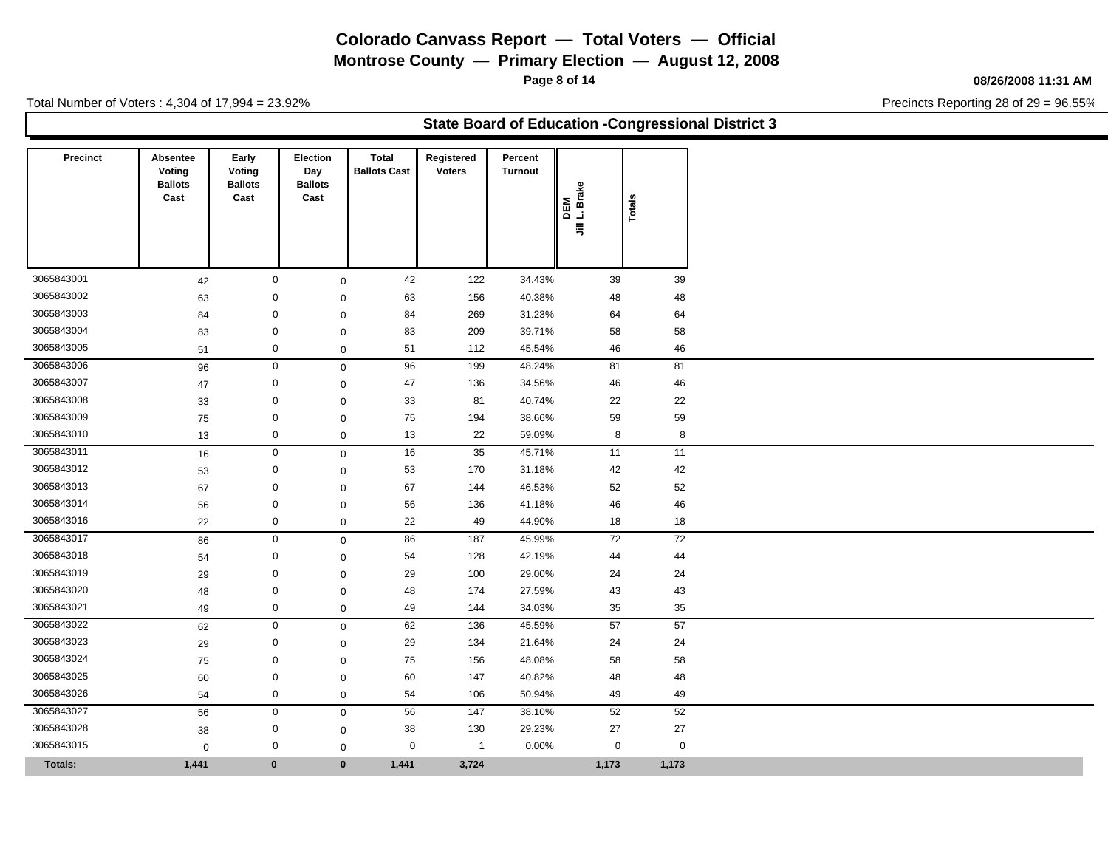**Montrose County — Primary Election — August 12, 2008**

**Page 8 of 14**

#### **08/26/2008 11:31 AM**

Precincts Reporting 28 of 29 = 96.55%

Total Number of Voters : 4,304 of 17,994 = 23.92%

### **State Board of Education -Congressional District 3**

| <b>Precinct</b> | Absentee<br>Voting<br><b>Ballots</b><br>Cast | Early<br>Voting<br><b>Ballots</b><br>Cast | <b>Election</b><br>Day<br><b>Ballots</b><br>Cast | Total<br><b>Ballots Cast</b> | Registered<br><b>Voters</b> |                         | Percent<br><b>Turnout</b> | DEM<br>L. Brake<br>$\bar{z}$ | Totals      |
|-----------------|----------------------------------------------|-------------------------------------------|--------------------------------------------------|------------------------------|-----------------------------|-------------------------|---------------------------|------------------------------|-------------|
| 3065843001      | 42                                           |                                           | $\mathbf 0$                                      | $\mathbf 0$                  | 42                          | 122                     | 34.43%                    | 39                           | 39          |
| 3065843002      | 63                                           |                                           | 0                                                | $\mathbf 0$                  | 63                          | 156                     | 40.38%                    | 48                           | 48          |
| 3065843003      | 84                                           |                                           | 0                                                | $\mathbf 0$                  | 84                          | 269                     | 31.23%                    | 64                           | 64          |
| 3065843004      | 83                                           |                                           | $\mathbf 0$                                      | $\mathbf 0$                  | 83                          | 209                     | 39.71%                    | 58                           | 58          |
| 3065843005      | 51                                           |                                           | 0                                                | $\mathbf 0$                  | 51                          | 112                     | 45.54%                    | 46                           | 46          |
| 3065843006      | 96                                           |                                           | $\mathbf 0$                                      | $\mathbf 0$                  | 96                          | 199                     | 48.24%                    | 81                           | 81          |
| 3065843007      | 47                                           |                                           | $\mathbf 0$                                      | $\mathbf 0$                  | 47                          | 136                     | 34.56%                    | 46                           | 46          |
| 3065843008      | 33                                           |                                           | $\mathbf 0$                                      | $\mathbf 0$                  | 33                          | 81                      | 40.74%                    | 22                           | 22          |
| 3065843009      | 75                                           |                                           | $\mathbf 0$                                      | $\mathbf 0$                  | 75                          | 194                     | 38.66%                    | 59                           | 59          |
| 3065843010      | 13                                           |                                           | $\mathbf 0$                                      | $\mathbf 0$                  | 13                          | 22                      | 59.09%                    | 8                            | 8           |
| 3065843011      | 16                                           |                                           | $\mathbf 0$                                      | $\mathbf 0$                  | 16                          | 35                      | 45.71%                    | 11                           | 11          |
| 3065843012      | 53                                           |                                           | $\mathbf 0$                                      | $\mathbf 0$                  | 53                          | 170                     | 31.18%                    | 42                           | 42          |
| 3065843013      | 67                                           |                                           | $\mathbf 0$                                      | $\mathbf 0$                  | 67                          | 144                     | 46.53%                    | 52                           | 52          |
| 3065843014      | 56                                           |                                           | $\mathbf 0$                                      | $\mathbf 0$                  | 56                          | 136                     | 41.18%                    | 46                           | 46          |
| 3065843016      | 22                                           |                                           | $\mathbf 0$                                      | $\mathsf 0$                  | 22                          | 49                      | 44.90%                    | 18                           | 18          |
| 3065843017      | 86                                           |                                           | $\mathbf 0$                                      | $\mathbf 0$                  | 86                          | 187                     | 45.99%                    | 72                           | 72          |
| 3065843018      | 54                                           |                                           | $\mathbf 0$                                      | $\mathbf 0$                  | 54                          | 128                     | 42.19%                    | 44                           | 44          |
| 3065843019      | 29                                           |                                           | 0                                                | $\mathbf 0$                  | 29                          | 100                     | 29.00%                    | 24                           | 24          |
| 3065843020      | 48                                           |                                           | $\mathbf 0$                                      | $\mathbf 0$                  | 48                          | 174                     | 27.59%                    | 43                           | 43          |
| 3065843021      | 49                                           |                                           | 0                                                | $\mathsf{O}\xspace$          | 49                          | 144                     | 34.03%                    | 35                           | 35          |
| 3065843022      | 62                                           |                                           | $\mathbf 0$                                      | $\mathbf 0$                  | 62                          | 136                     | 45.59%                    | 57                           | 57          |
| 3065843023      | 29                                           |                                           | $\mathbf 0$                                      | $\mathbf 0$                  | 29                          | 134                     | 21.64%                    | 24                           | 24          |
| 3065843024      | 75                                           |                                           | $\mathbf 0$                                      | $\mathbf 0$                  | 75                          | 156                     | 48.08%                    | 58                           | 58          |
| 3065843025      | 60                                           |                                           | $\mathbf 0$                                      | $\mathbf 0$                  | 60                          | 147                     | 40.82%                    | 48                           | 48          |
| 3065843026      | 54                                           |                                           | $\mathbf 0$                                      | $\mathbf 0$                  | 54                          | 106                     | 50.94%                    | 49                           | 49          |
| 3065843027      | 56                                           |                                           | $\mathbf 0$                                      | $\mathbf 0$                  | 56                          | 147                     | 38.10%                    | 52                           | 52          |
| 3065843028      | 38                                           |                                           | 0                                                | $\mathbf 0$                  | 38                          | 130                     | 29.23%                    | 27                           | 27          |
| 3065843015      | $\mathbf 0$                                  |                                           | 0                                                | $\mathbf 0$                  | $\mathbf 0$                 | $\overline{\mathbf{1}}$ | 0.00%                     | $\mathbf 0$                  | $\mathbf 0$ |
| Totals:         | 1,441                                        | $\mathbf 0$                               |                                                  | $\bf{0}$                     | 1,441                       | 3,724                   |                           | 1,173                        | 1,173       |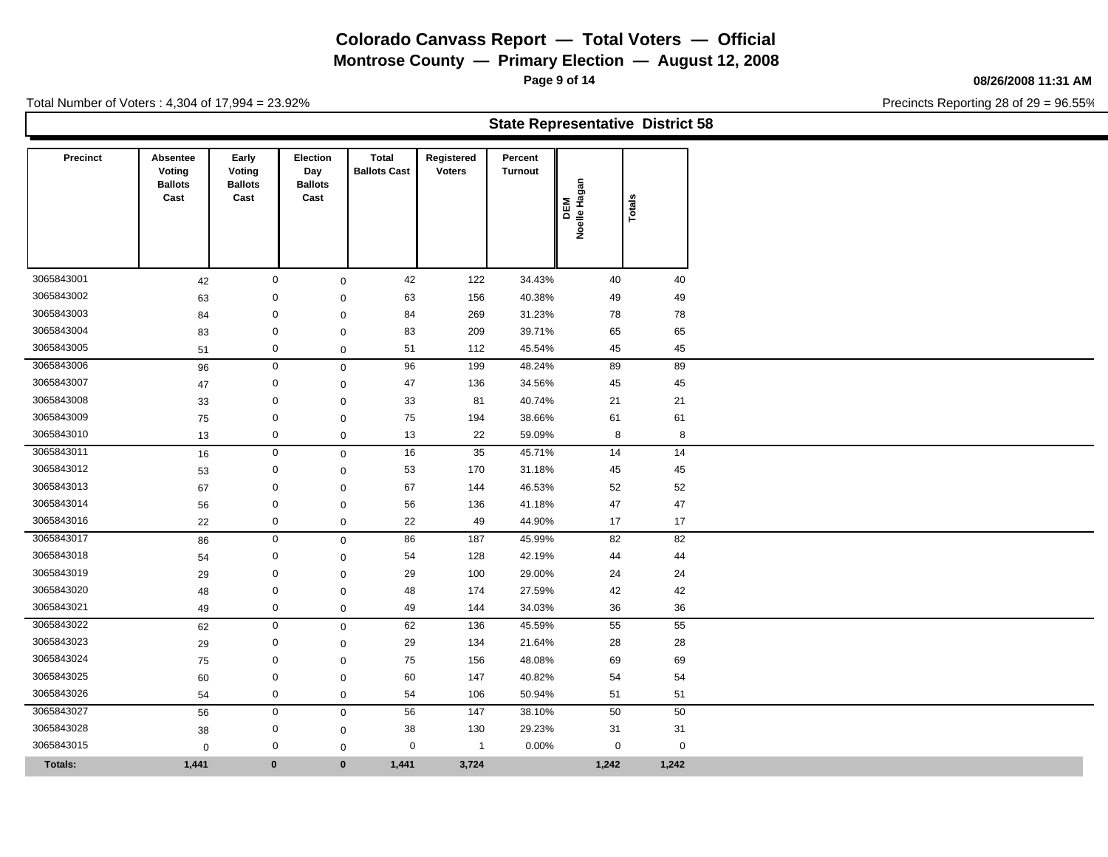**Montrose County — Primary Election — August 12, 2008**

**Page 9 of 14**

**State Representative District 58**

#### **08/26/2008 11:31 AM**

Precincts Reporting 28 of 29 = 96.55%

Total Number of Voters : 4,304 of 17,994 = 23.92%

| <b>Precinct</b> | Absentee       |                 | Election       | <b>Total</b>        | Registered    | Percent        |                 |          |    |
|-----------------|----------------|-----------------|----------------|---------------------|---------------|----------------|-----------------|----------|----|
|                 | Voting         | Early<br>Voting | Day            | <b>Ballots Cast</b> | <b>Voters</b> | <b>Turnout</b> |                 |          |    |
|                 | <b>Ballots</b> | <b>Ballots</b>  | <b>Ballots</b> |                     |               |                | ಹ<br>ಠಾ         |          |    |
|                 | Cast           | Cast            | Cast           |                     |               |                |                 | es<br>   |    |
|                 |                |                 |                |                     |               |                | DEM<br>elle Hay | <u>ە</u> |    |
|                 |                |                 |                |                     |               |                | ٤               |          |    |
|                 |                |                 |                |                     |               |                |                 |          |    |
|                 |                |                 |                |                     |               |                |                 |          |    |
| 3065843001      | 42             | 0               |                | 42                  | 122           | 34.43%         |                 | 40       | 40 |
| 3065843002      | 63             | 0               | $\mathbf 0$    | 63                  | 156           | 40.38%         |                 | 49       | 49 |
| 3065843003      | 84             | 0               | $\Omega$       | 84                  | 269           | 31.23%         |                 | 78       | 78 |
| 3065843004      | 83             | $\mathbf 0$     | $\Omega$       | 83                  | 209           | 39.71%         |                 | 65       | 65 |
|                 |                |                 |                |                     |               |                |                 |          |    |

3065843005 51 0 0 51 112 45.54% 45 45 3065843006 96 0 0 96 199 48.24% 89 89 3065843007 47 0 0 47 136 34.56% 45 45 3065843008 33 0 0 33 81 40.74% 21 21 3065843009 75 0 0 75 194 38.66% 61 61 3065843010 13 0 0 13 22 59.09% 8 8 3065843011 16 0 0 16 35 45.71% 14 14 3065843012 53 0 0 53 170 31.18% 45 45 3065843013 67 0 0 67 144 46.53% 52 52 3065843014 56 0 0 56 136 41.18% 47 47 3065843016 22 0 0 22 49 44.90% 17 17 3065843017 86 0 86 187 45.99% 82 82 3065843018 54 0 0 54 128 42.19% 44 44 3065843019 29 0 0 29 100 29.00% 24 24 3065843020 48 0 0 48 174 27.59% 42 42 3065843021 49 0 0 49 144 34.03% 36 36 3065843022 62 0 0 62 136 45.59% 55 55 3065843023 29 0 0 29 134 21.64% 28 28 3065843024 75 0 0 75 156 48.08% 69 69 3065843025 60 0 0 60 147 40.82% 54 54 3065843026 54 0 0 54 106 50.94% 51 51 3065843027 56 0 0 56 147 38.10% 50 50 3065843028 38 0 0 38 130 29.23% 31 31 3065843015 0 0 0 0 1 0.00% 0 0

**Totals: 1,441 0 0 1,441 3,724 1,242 1,242**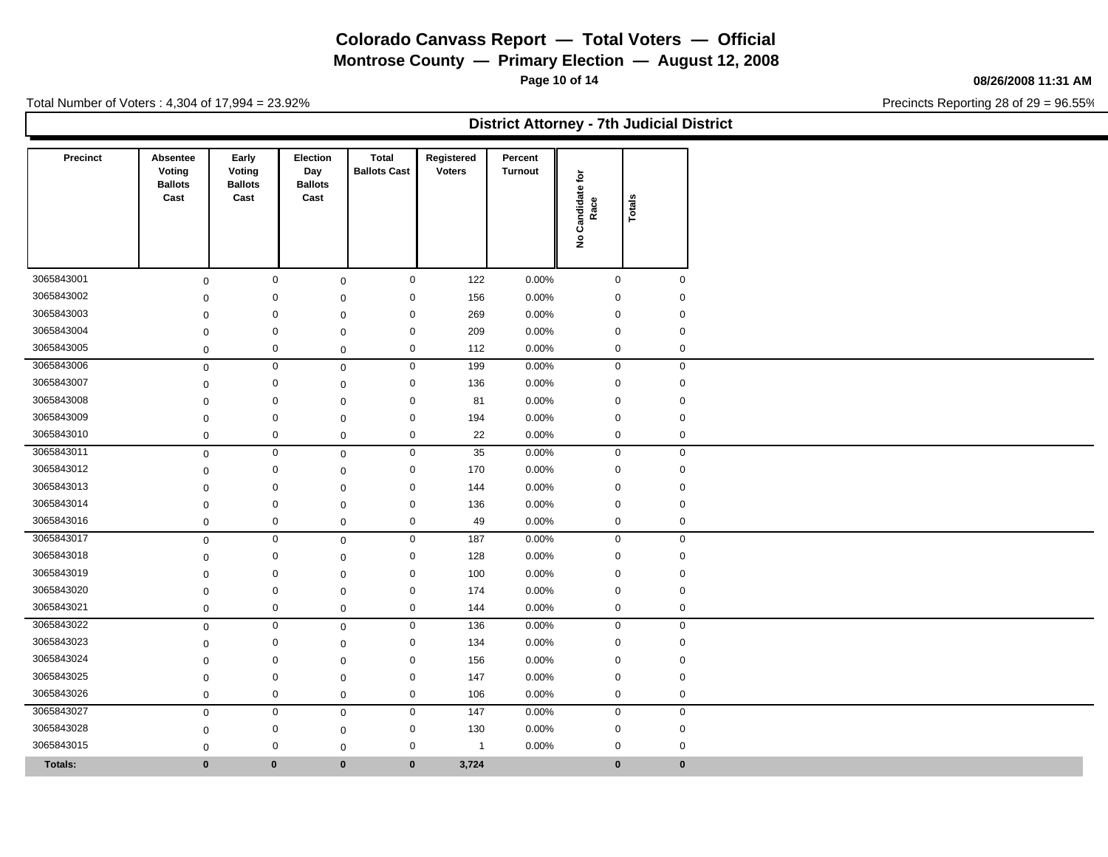**Montrose County — Primary Election — August 12, 2008**

**Page 10 of 14**

#### **08/26/2008 11:31 AM**

Precincts Reporting 28 of 29 = 96.55%

Total Number of Voters : 4,304 of 17,994 = 23.92%

**District Attorney - 7th Judicial District**

| Precinct                 | Absentee<br>Voting<br><b>Ballots</b><br>Cast | Early<br>Voting<br><b>Ballots</b><br>Cast | Election<br>Day<br><b>Ballots</b><br>Cast |                            | <b>Total</b><br><b>Ballots Cast</b> | Registered<br><b>Voters</b> | Percent<br><b>Turnout</b> | Candidate for<br>Race<br>$\hat{\mathbf{z}}$ | Totals              |                            |
|--------------------------|----------------------------------------------|-------------------------------------------|-------------------------------------------|----------------------------|-------------------------------------|-----------------------------|---------------------------|---------------------------------------------|---------------------|----------------------------|
|                          |                                              |                                           |                                           |                            |                                     |                             |                           |                                             |                     |                            |
| 3065843001               | $\mathsf{O}\xspace$                          |                                           | $\mathbf 0$                               | $\mathbf 0$                | $\mathbf 0$                         | 122                         | 0.00%                     |                                             | 0                   | $\mathbf 0$                |
| 3065843002<br>3065843003 | $\mathbf 0$                                  |                                           | $\mathbf 0$                               | $\mathbf 0$                | $\mathbf 0$                         | 156                         | 0.00%                     |                                             | 0                   | $\mathbf 0$                |
| 3065843004               | $\mathbf 0$                                  |                                           | $\mathbf 0$                               | $\mathbf 0$                | 0                                   | 269<br>209                  | $0.00\%$<br>0.00%         |                                             | 0<br>0              | $\mathbf 0$<br>$\mathbf 0$ |
| 3065843005               | $\mathbf 0$                                  |                                           | $\mathbf 0$                               | $\mathbf 0$                | $\mathbf 0$                         | 112                         |                           |                                             |                     |                            |
| 3065843006               | $\mathbf 0$                                  |                                           | $\mathbf 0$                               | $\mathsf{O}\xspace$        | $\pmb{0}$                           |                             | 0.00%                     |                                             | 0<br>$\mathbf 0$    | $\mathbf 0$<br>$\mathbf 0$ |
| 3065843007               | $\mathbf 0$                                  |                                           | $\mathbf 0$                               | $\mathsf 0$                | $\mathbf 0$                         | 199                         | 0.00%                     |                                             |                     |                            |
| 3065843008               | $\mathbf 0$                                  |                                           | $\mathbf 0$<br>0                          | $\mathbf 0$                | $\mathbf 0$<br>0                    | 136<br>81                   | 0.00%<br>0.00%            |                                             | 0<br>0              | $\mathbf 0$<br>$\mathbf 0$ |
| 3065843009               | $\mathbf 0$                                  |                                           | $\mathbf 0$                               | $\mathbf 0$                | $\mathbf 0$                         | 194                         | 0.00%                     |                                             | $\mathbf 0$         | $\mathbf 0$                |
| 3065843010               | $\mathbf 0$                                  |                                           | $\mathbf 0$                               | $\mathbf 0$<br>$\mathbf 0$ | $\mathbf 0$                         | 22                          | 0.00%                     |                                             | 0                   | $\mathbf 0$                |
| 3065843011               | $\mathbf 0$                                  |                                           | $\mathbf 0$                               |                            |                                     |                             | 0.00%                     |                                             | $\mathbf 0$         | $\mathbf 0$                |
| 3065843012               | $\mathbf 0$                                  |                                           | $\mathbf 0$                               | $\mathbf 0$                | $\mathsf{O}\xspace$<br>$\mathbf 0$  | 35<br>170                   | 0.00%                     |                                             | 0                   | $\mathbf 0$                |
| 3065843013               | $\mathbf 0$                                  |                                           | $\mathbf 0$                               | $\mathbf 0$                | $\mathbf 0$                         | 144                         | 0.00%                     |                                             | $\mathbf 0$         | $\mathbf 0$                |
| 3065843014               | $\mathbf 0$                                  |                                           | $\mathbf 0$                               | $\mathbf 0$                | $\mathbf 0$                         |                             |                           |                                             | $\pmb{0}$           | $\mathbf 0$                |
| 3065843016               | 0                                            |                                           | $\mathbf 0$                               | $\mathbf 0$                | $\mathbf 0$                         | 136<br>49                   | 0.00%<br>0.00%            |                                             | 0                   | $\mathbf 0$                |
| 3065843017               | $\mathbf 0$                                  |                                           | $\mathbf 0$                               | $\mathbf 0$                | $\mathbf 0$                         | 187                         | 0.00%                     |                                             | $\mathsf{O}\xspace$ | $\mathsf{O}\xspace$        |
| 3065843018               | $\mathbf 0$                                  |                                           | $\mathbf 0$                               | $\mathbf 0$                |                                     | 128                         | 0.00%                     |                                             |                     | $\mathbf 0$                |
| 3065843019               | $\mathbf 0$                                  |                                           |                                           | $\mathbf 0$                | 0                                   | 100                         |                           |                                             | 0<br>$\mathbf 0$    |                            |
| 3065843020               | $\mathbf 0$                                  |                                           | $\mathbf 0$<br>$\mathbf 0$                | $\mathbf 0$                | 0<br>$\mathbf 0$                    | 174                         | 0.00%<br>0.00%            |                                             | $\mathbf 0$         | $\mathbf 0$<br>$\mathbf 0$ |
| 3065843021               | $\mathbf 0$                                  |                                           | $\mathbf 0$                               | $\mathbf 0$                | 0                                   | 144                         | 0.00%                     |                                             | 0                   | $\mathbf 0$                |
| 3065843022               | $\mathbf 0$                                  |                                           | $\mathbf 0$                               | $\mathsf 0$                | $\mathsf 0$                         | 136                         | 0.00%                     |                                             | $\mathsf{O}\xspace$ | $\mathsf{O}\xspace$        |
| 3065843023               | $\mathbf 0$                                  |                                           |                                           | $\mathbf 0$                | 0                                   | 134                         | 0.00%                     |                                             | 0                   |                            |
| 3065843024               | $\mathbf 0$                                  |                                           | 0<br>$\mathbf 0$                          | $\mathbf 0$                | $\mathbf 0$                         | 156                         | 0.00%                     |                                             | $\mathbf 0$         | $\mathbf 0$<br>$\mathsf 0$ |
| 3065843025               | $\mathbf 0$                                  |                                           |                                           | $\Omega$                   |                                     |                             |                           |                                             |                     |                            |
| 3065843026               | $\mathbf 0$                                  |                                           | 0                                         | $\mathbf 0$                | 0                                   | 147                         | 0.00%                     |                                             | $\mathbf 0$         | $\mathbf 0$                |
|                          | $\mathbf 0$                                  |                                           | 0                                         | $\mathbf 0$                | 0                                   | 106                         | 0.00%                     |                                             | 0                   | $\mathbf 0$                |
| 3065843027               | $\mathbf 0$                                  |                                           | $\mathbf 0$                               | $\mathbf 0$                | $\mathbf 0$                         | 147                         | $0.00\%$                  |                                             | $\mathbf 0$         | $\mathbf 0$                |
| 3065843028               | $\mathbf 0$                                  |                                           | $\mathbf 0$                               | $\mathbf 0$                | $\mathbf 0$                         | 130                         | 0.00%                     |                                             | 0                   | $\mathbf 0$                |
| 3065843015               | $\mathbf 0$                                  |                                           | 0                                         | $\mathbf 0$                | 0                                   | $\overline{1}$              | 0.00%                     |                                             | $\mathbf 0$         | $\mathbf 0$                |
| <b>Totals:</b>           | $\bf{0}$                                     |                                           | $\bf{0}$                                  | $\bf{0}$                   | $\bf{0}$                            | 3,724                       |                           |                                             | $\mathbf{0}$        | $\bf{0}$                   |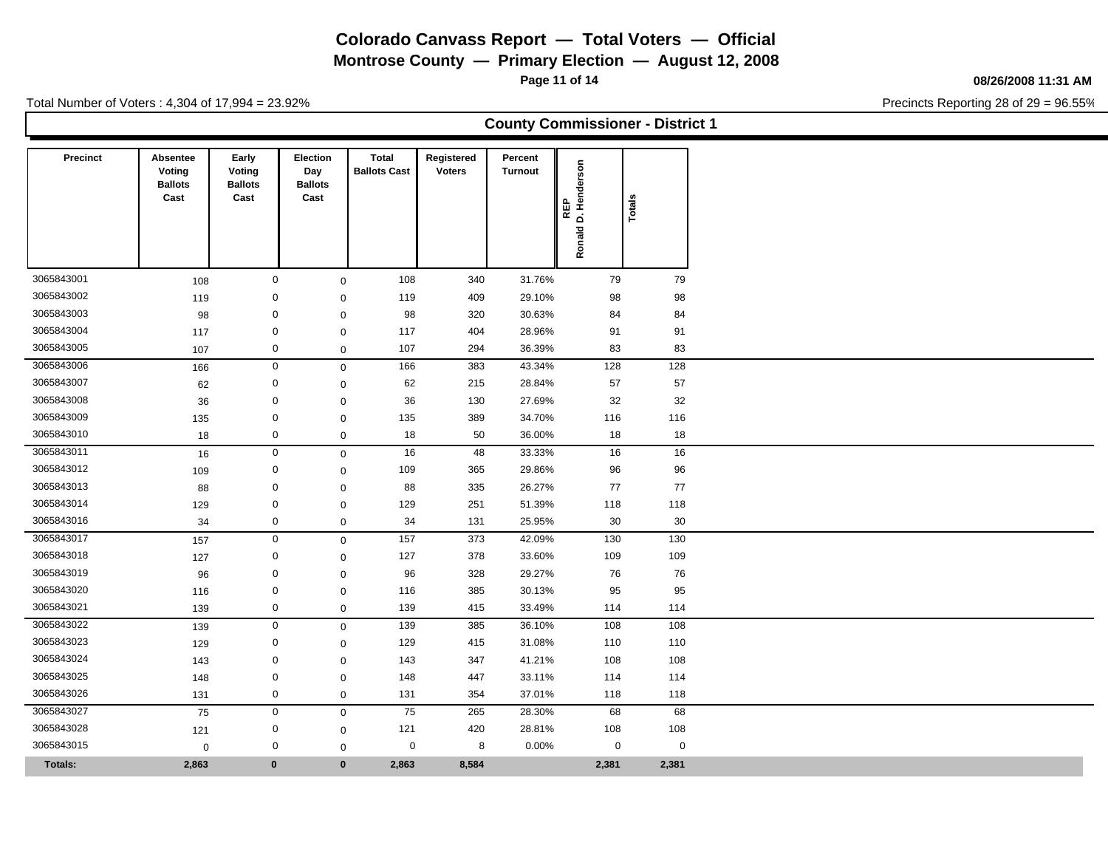**Montrose County — Primary Election — August 12, 2008**

**Page 11 of 14**

#### **08/26/2008 11:31 AM**

Precincts Reporting 28 of 29 = 96.55%

|  | <b>County Commissioner - District 1</b> |
|--|-----------------------------------------|
|--|-----------------------------------------|

| <b>Precinct</b> | Absentee<br>Voting     | Early<br>Voting        | Election<br>Day        | <b>Total</b><br><b>Ballots Cast</b> | Registered<br><b>Voters</b> | Percent<br><b>Turnout</b> |                     |       |             |
|-----------------|------------------------|------------------------|------------------------|-------------------------------------|-----------------------------|---------------------------|---------------------|-------|-------------|
|                 | <b>Ballots</b><br>Cast | <b>Ballots</b><br>Cast | <b>Ballots</b><br>Cast |                                     |                             |                           | D. Henderson<br>⊞   |       |             |
|                 |                        |                        |                        |                                     |                             |                           | $\overline{\alpha}$ | Total |             |
|                 |                        |                        |                        |                                     |                             |                           | Ronald              |       |             |
| 3065843001      | 108                    | $\mathbf 0$            |                        | 108<br>$\mathbf 0$                  | 340                         | 31.76%                    | 79                  |       | 79          |
| 3065843002      | 119                    |                        | $\mathbf 0$            | 119<br>$\mathbf 0$                  | 409                         | 29.10%                    | 98                  |       | 98          |
| 3065843003      | 98                     |                        | $\mathbf 0$            | 98<br>$\mathbf 0$                   | 320                         | 30.63%                    | 84                  |       | 84          |
| 3065843004      | 117                    |                        | $\mathbf 0$            | 117<br>$\mathbf 0$                  | 404                         | 28.96%                    | 91                  |       | 91          |
| 3065843005      | 107                    | $\mathbf 0$            |                        | 107<br>$\mathbf 0$                  | 294                         | 36.39%                    | 83                  |       | 83          |
| 3065843006      | 166                    | $\mathbf 0$            |                        | 166<br>$\mathbf 0$                  | 383                         | 43.34%                    | 128                 |       | 128         |
| 3065843007      | 62                     |                        | 0                      | 62<br>$\mathbf 0$                   | 215                         | 28.84%                    | 57                  |       | 57          |
| 3065843008      | 36                     |                        | $\mathbf 0$            | 36<br>$\mathbf 0$                   | 130                         | 27.69%                    | 32                  |       | 32          |
| 3065843009      | 135                    |                        | $\mathbf 0$            | 135<br>$\mathbf 0$                  | 389                         | 34.70%                    | 116                 |       | 116         |
| 3065843010      | 18                     | $\mathbf 0$            |                        | 18<br>$\mathbf 0$                   | 50                          | 36.00%                    | 18                  |       | 18          |
| 3065843011      | 16                     | $\pmb{0}$              |                        | 16<br>$\mathsf 0$                   | 48                          | 33.33%                    | 16                  |       | 16          |
| 3065843012      | 109                    |                        | $\mathbf 0$            | 109<br>$\mathbf 0$                  | 365                         | 29.86%                    | 96                  |       | 96          |
| 3065843013      | 88                     |                        | $\mathbf 0$            | 88<br>$\mathbf 0$                   | 335                         | 26.27%                    | 77                  |       | 77          |
| 3065843014      | 129                    |                        | $\mathbf 0$            | 129<br>$\mathbf 0$                  | 251                         | 51.39%                    | 118                 |       | 118         |
| 3065843016      | 34                     |                        | $\mathbf 0$            | 34<br>$\mathbf 0$                   | 131                         | 25.95%                    | 30                  |       | 30          |
| 3065843017      | 157                    | $\mathbf 0$            |                        | 157<br>$\mathsf 0$                  | 373                         | 42.09%                    | 130                 |       | 130         |
| 3065843018      | 127                    |                        | $\mathbf 0$            | 127<br>$\mathbf 0$                  | 378                         | 33.60%                    | 109                 |       | 109         |
| 3065843019      | 96                     |                        | $\mathbf 0$            | 96<br>$\mathbf 0$                   | 328                         | 29.27%                    | 76                  |       | 76          |
| 3065843020      | 116                    |                        | $\mathbf 0$            | 116<br>$\mathbf 0$                  | 385                         | 30.13%                    | 95                  |       | 95          |
| 3065843021      | 139                    |                        | $\boldsymbol{0}$       | 139<br>$\mathbf 0$                  | 415                         | 33.49%                    | 114                 |       | 114         |
| 3065843022      | 139                    | $\mathbf 0$            |                        | 139<br>$\mathbf 0$                  | 385                         | 36.10%                    | 108                 |       | 108         |
| 3065843023      | 129                    |                        | 0                      | 129<br>$\mathbf 0$                  | 415                         | 31.08%                    | 110                 |       | 110         |
| 3065843024      | 143                    |                        | $\mathbf 0$            | 143<br>$\mathbf 0$                  | 347                         | 41.21%                    | 108                 |       | 108         |
| 3065843025      | 148                    |                        | $\mathbf 0$            | 148<br>$\mathbf 0$                  | 447                         | 33.11%                    | 114                 |       | 114         |
| 3065843026      | 131                    | $\mathbf 0$            |                        | $\mathsf 0$<br>131                  | 354                         | 37.01%                    | 118                 |       | 118         |
| 3065843027      | 75                     |                        | $\mathbf 0$            | 75<br>$\mathbf 0$                   | 265                         | 28.30%                    | 68                  |       | 68          |
| 3065843028      | 121                    |                        | $\mathbf 0$            | 121<br>$\mathbf 0$                  | 420                         | 28.81%                    | 108                 |       | 108         |
| 3065843015      | $\mathbf 0$            |                        | $\mathbf 0$            | $\mathbf 0$<br>$\mathbf 0$          | 8                           | 0.00%                     | $\mathbf 0$         |       | $\mathbf 0$ |
| <b>Totals:</b>  | 2,863                  | $\mathbf{0}$           |                        | $\bf{0}$<br>2,863                   | 8,584                       |                           | 2,381               |       | 2,381       |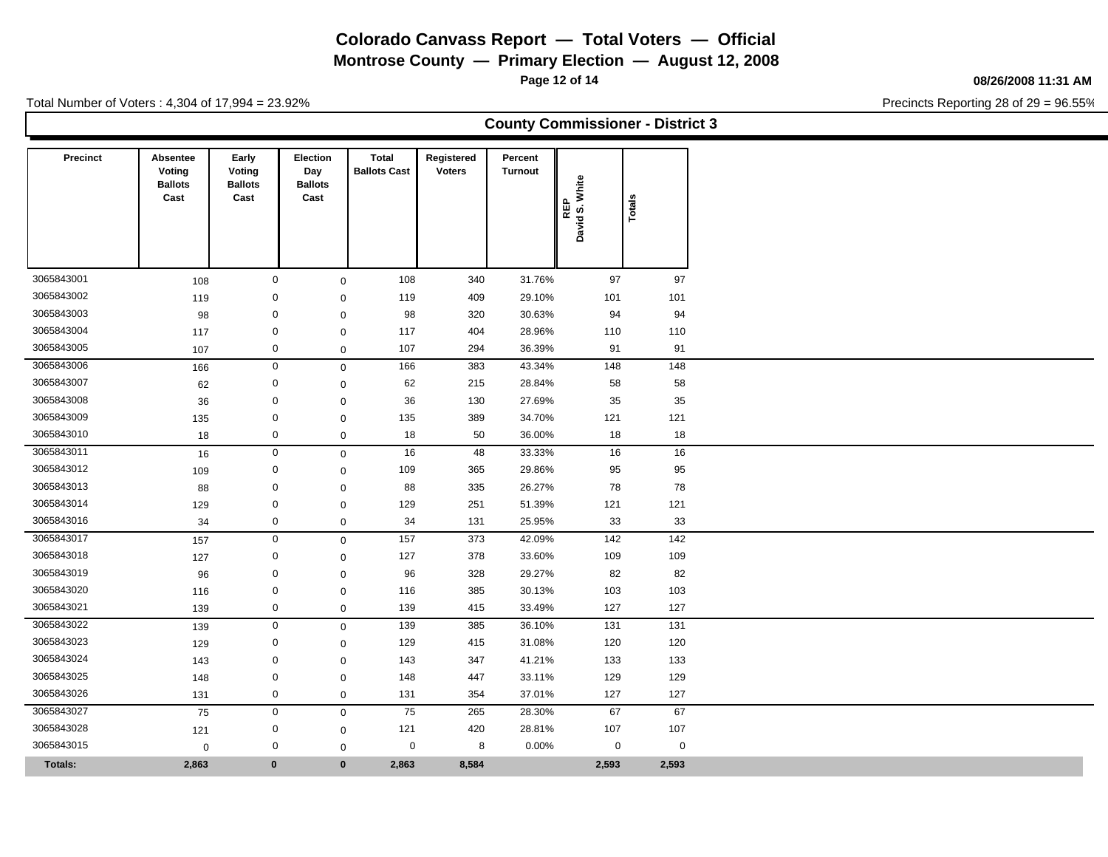**Montrose County — Primary Election — August 12, 2008**

**Page 12 of 14**

### **08/26/2008 11:31 AM**

Precincts Reporting 28 of 29 = 96.55%

| <b>County Commissioner - District 3</b> |  |
|-----------------------------------------|--|
|-----------------------------------------|--|

| Precinct       | Absentee<br>Voting<br><b>Ballots</b><br>Cast | Early<br>Voting<br><b>Ballots</b><br>Cast | <b>Election</b><br>Day<br><b>Ballots</b><br>Cast | <b>Total</b><br><b>Ballots Cast</b> | Registered<br><b>Voters</b> | Percent<br><b>Turnout</b> | S. White<br>REP<br><b>David</b> | Totals      |
|----------------|----------------------------------------------|-------------------------------------------|--------------------------------------------------|-------------------------------------|-----------------------------|---------------------------|---------------------------------|-------------|
|                |                                              |                                           |                                                  |                                     |                             |                           |                                 |             |
| 3065843001     | 108                                          |                                           | $\mathbf 0$                                      | 108<br>$\mathbf 0$                  | 340                         | 31.76%                    | 97                              | 97          |
| 3065843002     | 119                                          |                                           | $\mathbf 0$                                      | 119<br>$\mathbf 0$                  | 409                         | 29.10%                    | 101                             | 101         |
| 3065843003     | 98                                           |                                           | 0                                                | 98<br>$\mathbf 0$                   | 320                         | 30.63%                    | 94                              | 94          |
| 3065843004     | 117                                          |                                           | $\mathbf 0$                                      | 117<br>$\mathbf 0$                  | 404                         | 28.96%                    | 110                             | 110         |
| 3065843005     | 107                                          |                                           | $\mathbf 0$                                      | 107<br>$\mathbf 0$                  | 294                         | 36.39%                    | 91                              | 91          |
| 3065843006     | 166                                          |                                           | $\mathbf 0$                                      | 166<br>$\mathbf{0}$                 | 383                         | 43.34%                    | 148                             | 148         |
| 3065843007     | 62                                           |                                           | $\mathbf 0$                                      | 62<br>$\mathbf 0$                   | 215                         | 28.84%                    | 58                              | 58          |
| 3065843008     | 36                                           |                                           | $\mathbf 0$                                      | 36<br>$\mathbf 0$                   | 130                         | 27.69%                    | 35                              | 35          |
| 3065843009     | 135                                          |                                           | $\mathbf 0$                                      | 135<br>$\mathbf 0$                  | 389                         | 34.70%                    | 121                             | 121         |
| 3065843010     | 18                                           |                                           | $\mathbf 0$                                      | 18<br>$\mathbf 0$                   | 50                          | 36.00%                    | 18                              | 18          |
| 3065843011     | 16                                           |                                           | $\mathsf{O}\xspace$                              | 16<br>$\mathbf 0$                   | 48                          | 33.33%                    | 16                              | 16          |
| 3065843012     | 109                                          |                                           | $\mathbf 0$                                      | 109<br>$\mathbf 0$                  | 365                         | 29.86%                    | 95                              | 95          |
| 3065843013     | 88                                           |                                           | $\mathbf 0$                                      | 88<br>$\mathbf 0$                   | 335                         | 26.27%                    | 78                              | 78          |
| 3065843014     | 129                                          |                                           | $\mathbf 0$                                      | 129<br>$\mathbf 0$                  | 251                         | 51.39%                    | 121                             | 121         |
| 3065843016     | 34                                           |                                           | $\mathbf 0$                                      | 34<br>$\mathbf 0$                   | 131                         | 25.95%                    | 33                              | 33          |
| 3065843017     | 157                                          |                                           | $\mathsf{O}\xspace$                              | $\frac{157}{ }$<br>$\mathsf 0$      | 373                         | 42.09%                    | 142                             | $142$       |
| 3065843018     | 127                                          |                                           | 0                                                | 127<br>$\mathbf 0$                  | 378                         | 33.60%                    | 109                             | 109         |
| 3065843019     | 96                                           |                                           | $\mathbf 0$                                      | 96<br>$\mathbf 0$                   | 328                         | 29.27%                    | 82                              | 82          |
| 3065843020     | 116                                          |                                           | $\mathbf 0$                                      | 116<br>$\mathbf 0$                  | 385                         | 30.13%                    | 103                             | 103         |
| 3065843021     | 139                                          |                                           | $\mathbf 0$                                      | 139<br>$\mathbf 0$                  | 415                         | 33.49%                    | 127                             | 127         |
| 3065843022     | 139                                          |                                           | $\mathbf 0$                                      | 139<br>$\mathbf 0$                  | 385                         | 36.10%                    | 131                             | 131         |
| 3065843023     | 129                                          |                                           | $\mathbf 0$                                      | 129<br>$\mathbf 0$                  | 415                         | 31.08%                    | 120                             | 120         |
| 3065843024     | 143                                          |                                           | 0                                                | 143<br>$\mathbf 0$                  | 347                         | 41.21%                    | 133                             | 133         |
| 3065843025     | 148                                          |                                           | $\mathbf 0$                                      | 148<br>$\mathbf 0$                  | 447                         | 33.11%                    | 129                             | 129         |
| 3065843026     | 131                                          |                                           | $\mathbf 0$                                      | 131<br>$\mathsf 0$                  | 354                         | 37.01%                    | 127                             | 127         |
| 3065843027     | 75                                           |                                           | $\mathbf 0$                                      | 75<br>$\mathbf 0$                   | 265                         | 28.30%                    | 67                              | 67          |
| 3065843028     | 121                                          |                                           | 0                                                | 121<br>$\mathbf 0$                  | 420                         | 28.81%                    | 107                             | 107         |
| 3065843015     | $\mathbf 0$                                  |                                           | 0                                                | $\mathbf 0$                         | 0<br>8                      | 0.00%                     | 0                               | $\mathbf 0$ |
| <b>Totals:</b> | 2,863                                        | $\bf{0}$                                  |                                                  | $\mathbf{0}$<br>2,863               | 8,584                       |                           | 2,593                           | 2,593       |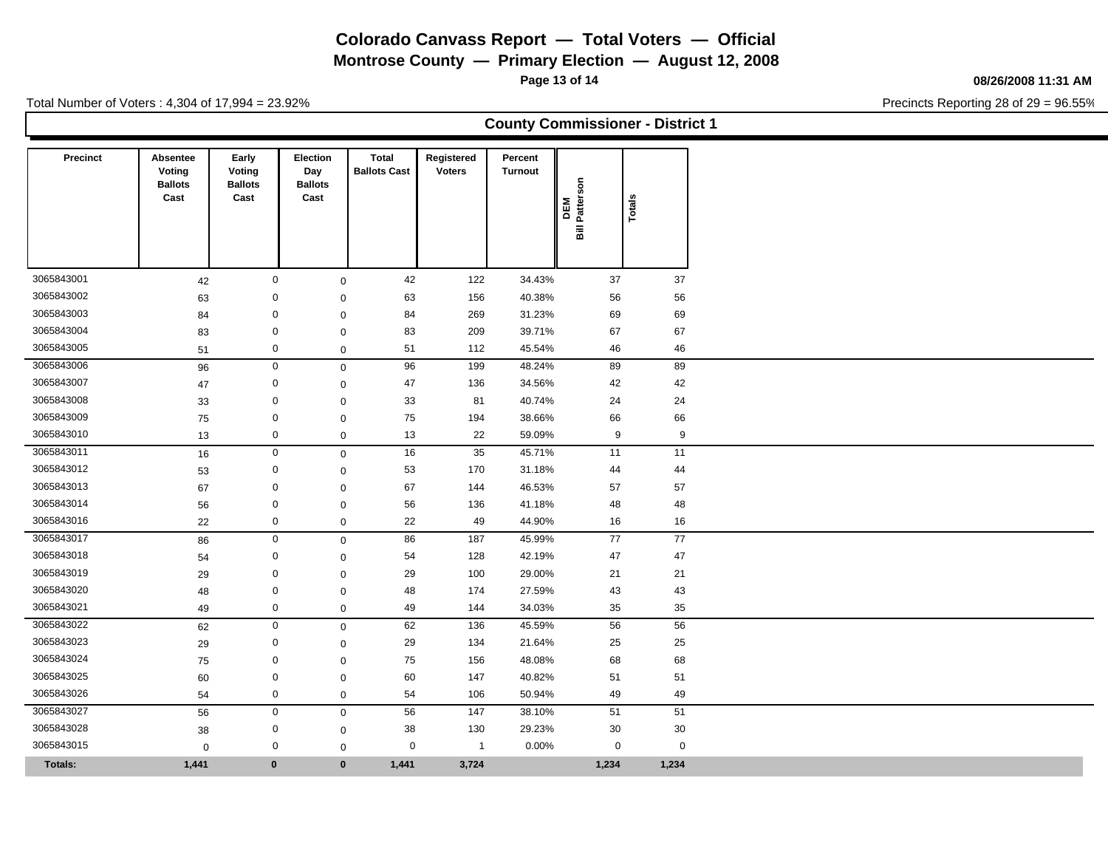**Montrose County — Primary Election — August 12, 2008**

**Page 13 of 14**

### **08/26/2008 11:31 AM**

Precincts Reporting 28 of 29 = 96.55%

| <b>County Commissioner - District 1</b> |
|-----------------------------------------|
|-----------------------------------------|

| Precinct                 | Absentee<br>Voting<br><b>Ballots</b><br>Cast | Early<br>Voting<br><b>Ballots</b><br>Cast | <b>Election</b><br>Day<br><b>Ballots</b><br>Cast | Total<br><b>Ballots Cast</b> | Registered<br><b>Voters</b> | Percent<br>Turnout | DEM<br>Bill Patterson | Totals      |
|--------------------------|----------------------------------------------|-------------------------------------------|--------------------------------------------------|------------------------------|-----------------------------|--------------------|-----------------------|-------------|
| 3065843001               |                                              |                                           | $\mathbf 0$                                      | 42                           | 122                         | 34.43%             | 37                    | 37          |
|                          | 42                                           |                                           |                                                  | $\mathbf 0$                  |                             |                    |                       |             |
| 3065843002<br>3065843003 | 63                                           |                                           | 0                                                | 63<br>$\mathbf 0$            | 156                         | 40.38%             | 56                    | 56          |
|                          | 84                                           |                                           | 0                                                | 84<br>$\mathbf 0$            | 269                         | 31.23%             | 69                    | 69          |
| 3065843004               | 83                                           |                                           | 0                                                | 83<br>$\mathbf 0$            | 209                         | 39.71%             | 67                    | 67          |
| 3065843005               | 51                                           |                                           | 0                                                | 51<br>$\mathbf 0$            | 112                         | 45.54%             | 46                    | 46          |
| 3065843006               | 96                                           |                                           | $\mathbf 0$                                      | 96<br>$\mathsf 0$            | 199                         | 48.24%             | 89                    | 89          |
| 3065843007               | 47                                           |                                           | $\mathbf 0$                                      | 47<br>$\mathbf 0$            | 136                         | 34.56%             | 42                    | 42          |
| 3065843008               | 33                                           |                                           | $\mathbf 0$                                      | 33<br>$\mathbf 0$            | 81                          | 40.74%             | 24                    | 24          |
| 3065843009               | 75                                           |                                           | 0                                                | 75<br>$\mathbf 0$            | 194                         | 38.66%             | 66                    | 66          |
| 3065843010               | 13                                           |                                           | $\mathbf 0$                                      | 13<br>$\mathsf 0$            | 22                          | 59.09%             | 9                     | 9           |
| 3065843011               | 16                                           |                                           | $\mathbf 0$                                      | 16<br>$\mathbf 0$            | 35                          | 45.71%             | 11                    | 11          |
| 3065843012               | 53                                           |                                           | $\mathbf 0$                                      | 53<br>$\mathbf 0$            | 170                         | 31.18%             | 44                    | 44          |
| 3065843013               | 67                                           |                                           | $\mathbf 0$                                      | 67<br>$\mathbf 0$            | 144                         | 46.53%             | 57                    | 57          |
| 3065843014               | 56                                           |                                           | $\mathbf 0$                                      | 56<br>$\mathbf 0$            | 136                         | 41.18%             | 48                    | 48          |
| 3065843016               | 22                                           |                                           | 0                                                | 22<br>$\mathbf 0$            | 49                          | 44.90%             | 16                    | 16          |
| 3065843017               | 86                                           |                                           | $\mathbf 0$                                      | 86<br>$\mathsf 0$            | 187                         | 45.99%             | 77                    | 77          |
| 3065843018               | 54                                           |                                           | 0                                                | 54<br>$\mathbf 0$            | 128                         | 42.19%             | 47                    | 47          |
| 3065843019               | 29                                           |                                           | $\Omega$                                         | 29<br>$\mathbf 0$            | 100                         | 29.00%             | 21                    | 21          |
| 3065843020               | 48                                           |                                           | $\mathbf 0$                                      | 48<br>$\mathbf 0$            | 174                         | 27.59%             | 43                    | 43          |
| 3065843021               | 49                                           |                                           | 0                                                | 49<br>$\mathbf 0$            | 144                         | 34.03%             | 35                    | 35          |
| 3065843022               | 62                                           |                                           | $\mathbf 0$                                      | 62<br>$\mathbf 0$            | $\overline{136}$            | 45.59%             | 56                    | 56          |
| 3065843023               | 29                                           |                                           | 0                                                | 29<br>$\mathbf 0$            | 134                         | 21.64%             | 25                    | 25          |
| 3065843024               | 75                                           |                                           | 0                                                | 75<br>$\mathbf 0$            | 156                         | 48.08%             | 68                    | 68          |
| 3065843025               | 60                                           |                                           | 0                                                | 60<br>$\mathsf 0$            | 147                         | 40.82%             | 51                    | 51          |
| 3065843026               | 54                                           |                                           | 0                                                | 54<br>$\mathsf 0$            | 106                         | 50.94%             | 49                    | 49          |
| 3065843027               | 56                                           |                                           | $\mathbf 0$                                      | 56<br>$\mathbf 0$            | 147                         | 38.10%             | 51                    | 51          |
| 3065843028               | 38                                           |                                           | 0                                                | 38<br>$\mathbf 0$            | 130                         | 29.23%             | 30                    | 30          |
| 3065843015               | $\mathbf 0$                                  |                                           | 0                                                | $\mathbf 0$<br>$\mathbf 0$   | $\overline{1}$              | 0.00%              | $\mathbf 0$           | $\mathbf 0$ |
| <b>Totals:</b>           | 1,441                                        |                                           | $\bf{0}$                                         | $\mathbf{0}$<br>1,441        | 3,724                       |                    | 1,234                 | 1,234       |